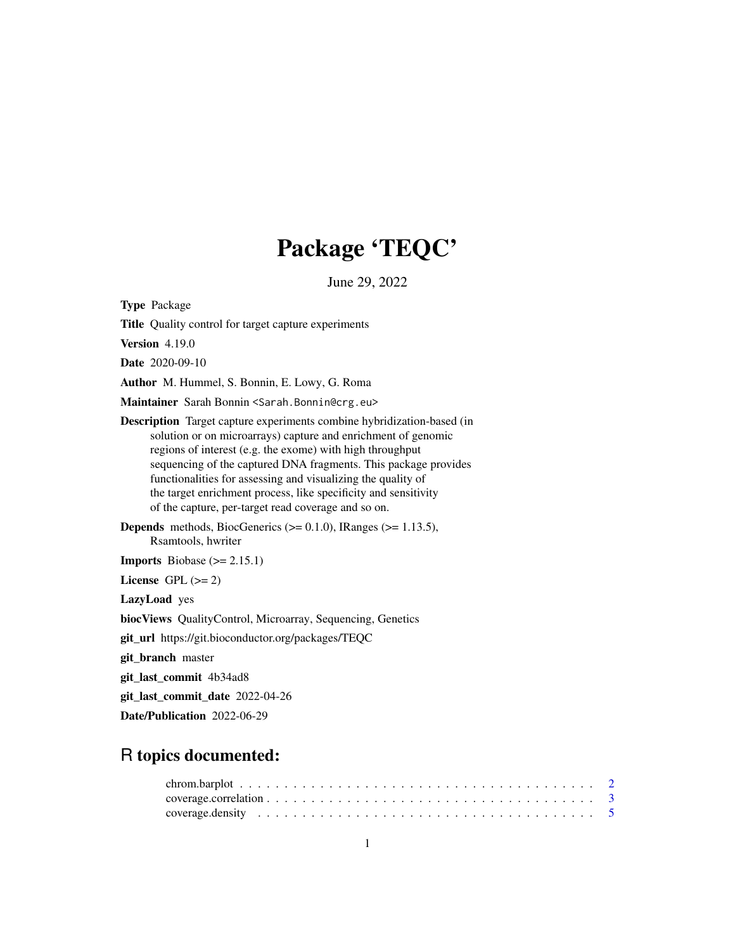## Package 'TEQC'

June 29, 2022

<span id="page-0-0"></span>Type Package

Title Quality control for target capture experiments

Version 4.19.0

Date 2020-09-10

Author M. Hummel, S. Bonnin, E. Lowy, G. Roma

Maintainer Sarah Bonnin <Sarah.Bonnin@crg.eu>

Description Target capture experiments combine hybridization-based (in solution or on microarrays) capture and enrichment of genomic regions of interest (e.g. the exome) with high throughput sequencing of the captured DNA fragments. This package provides functionalities for assessing and visualizing the quality of the target enrichment process, like specificity and sensitivity of the capture, per-target read coverage and so on.

**Depends** methods, BiocGenerics  $(>= 0.1.0)$ , IRanges  $(>= 1.13.5)$ , Rsamtools, hwriter

**Imports** Biobase  $(>= 2.15.1)$ 

License GPL  $(>= 2)$ 

LazyLoad yes

biocViews QualityControl, Microarray, Sequencing, Genetics

git\_url https://git.bioconductor.org/packages/TEQC

git\_branch master

git\_last\_commit 4b34ad8

git\_last\_commit\_date 2022-04-26

Date/Publication 2022-06-29

## R topics documented: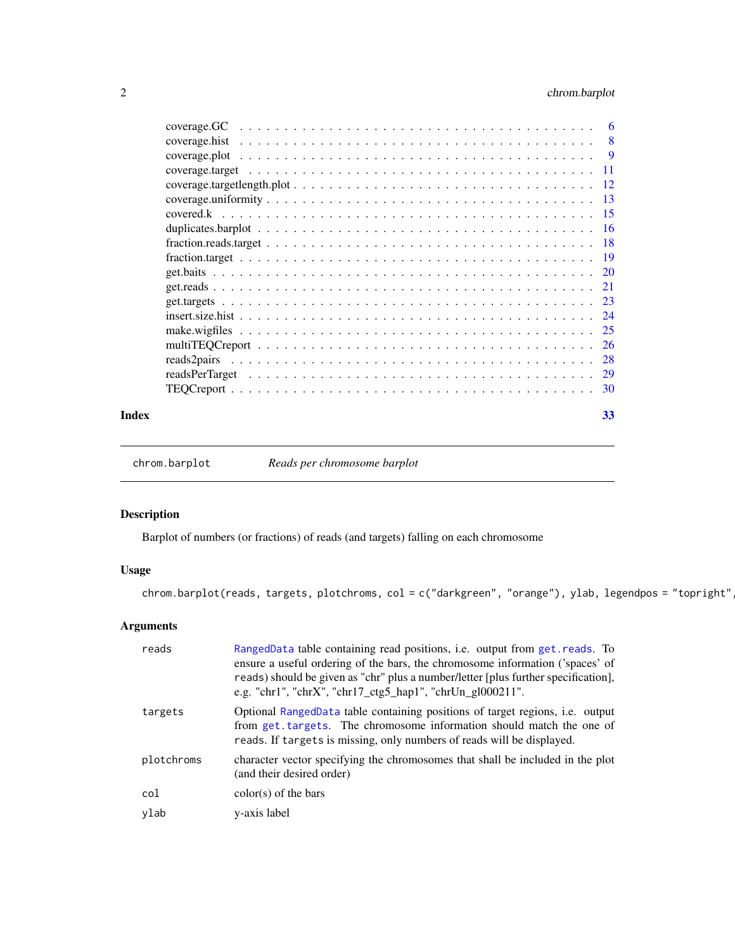### <span id="page-1-0"></span>2 chrom.barplot

| Index | 33 |
|-------|----|

chrom.barplot *Reads per chromosome barplot*

### Description

Barplot of numbers (or fractions) of reads (and targets) falling on each chromosome

### Usage

chrom.barplot(reads, targets, plotchroms, col = c("darkgreen", "orange"), ylab, legendpos = "topright"

| reads      | RangedData table containing read positions, i.e. output from get. reads. To<br>ensure a useful ordering of the bars, the chromosome information ('spaces' of<br>reads) should be given as "chr" plus a number/letter [plus further specification],<br>e.g. "chr1", "chr $X''$ , "chr17_ctg5_hap1", "chrUn_gl000211". |
|------------|----------------------------------------------------------------------------------------------------------------------------------------------------------------------------------------------------------------------------------------------------------------------------------------------------------------------|
| targets    | Optional RangedData table containing positions of target regions, i.e. output<br>from get targets. The chromosome information should match the one of<br>reads. If targets is missing, only numbers of reads will be displayed.                                                                                      |
| plotchroms | character vector specifying the chromosomes that shall be included in the plot<br>(and their desired order)                                                                                                                                                                                                          |
| col        | $color(s)$ of the bars                                                                                                                                                                                                                                                                                               |
| ylab       | y-axis label                                                                                                                                                                                                                                                                                                         |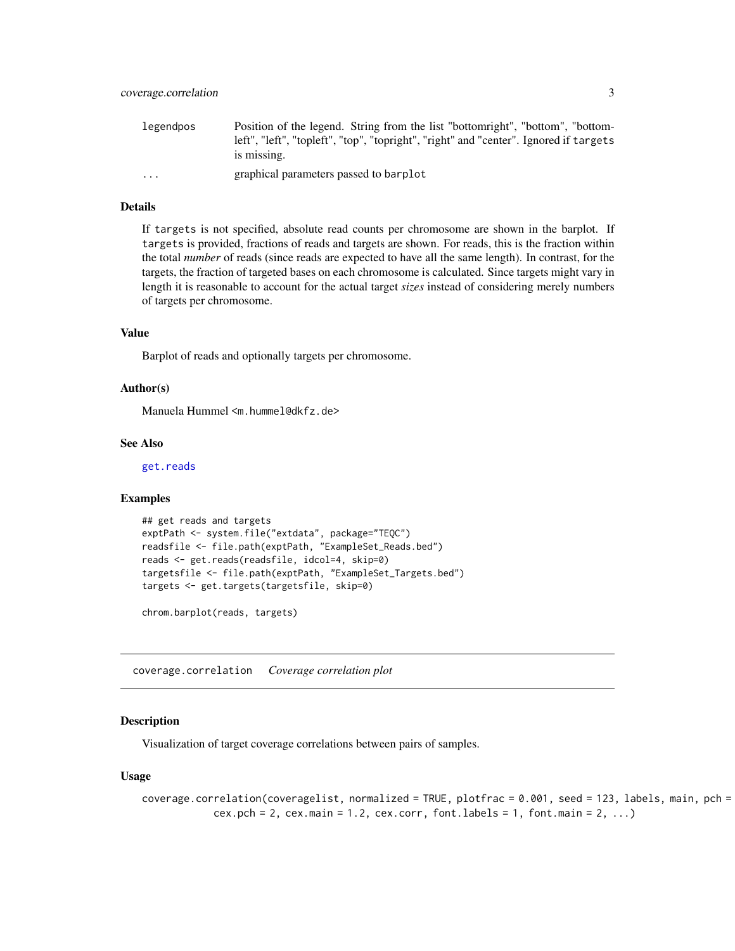<span id="page-2-0"></span>

| legendpos               | Position of the legend. String from the list "bottomright", "bottom", "bottom-                       |
|-------------------------|------------------------------------------------------------------------------------------------------|
|                         | left", "left", "topleft", "top", "topright", "right" and "center". Ignored if targets<br>is missing. |
|                         |                                                                                                      |
| $\cdot$ $\cdot$ $\cdot$ | graphical parameters passed to barplot                                                               |

### Details

If targets is not specified, absolute read counts per chromosome are shown in the barplot. If targets is provided, fractions of reads and targets are shown. For reads, this is the fraction within the total *number* of reads (since reads are expected to have all the same length). In contrast, for the targets, the fraction of targeted bases on each chromosome is calculated. Since targets might vary in length it is reasonable to account for the actual target *sizes* instead of considering merely numbers of targets per chromosome.

#### Value

Barplot of reads and optionally targets per chromosome.

#### Author(s)

Manuela Hummel <m.hummel@dkfz.de>

#### See Also

[get.reads](#page-20-1)

#### Examples

```
## get reads and targets
exptPath <- system.file("extdata", package="TEQC")
readsfile <- file.path(exptPath, "ExampleSet_Reads.bed")
reads <- get.reads(readsfile, idcol=4, skip=0)
targetsfile <- file.path(exptPath, "ExampleSet_Targets.bed")
targets <- get.targets(targetsfile, skip=0)
```
chrom.barplot(reads, targets)

<span id="page-2-1"></span>coverage.correlation *Coverage correlation plot*

### **Description**

Visualization of target coverage correlations between pairs of samples.

#### Usage

```
coverage.correlation(coveragelist, normalized = TRUE, plotfrac = 0.001, seed = 123, labels, main, pch =
            cex. pch = 2, cex. main = 1.2, cex. corr, font. labels = 1, font. main = 2, ...
```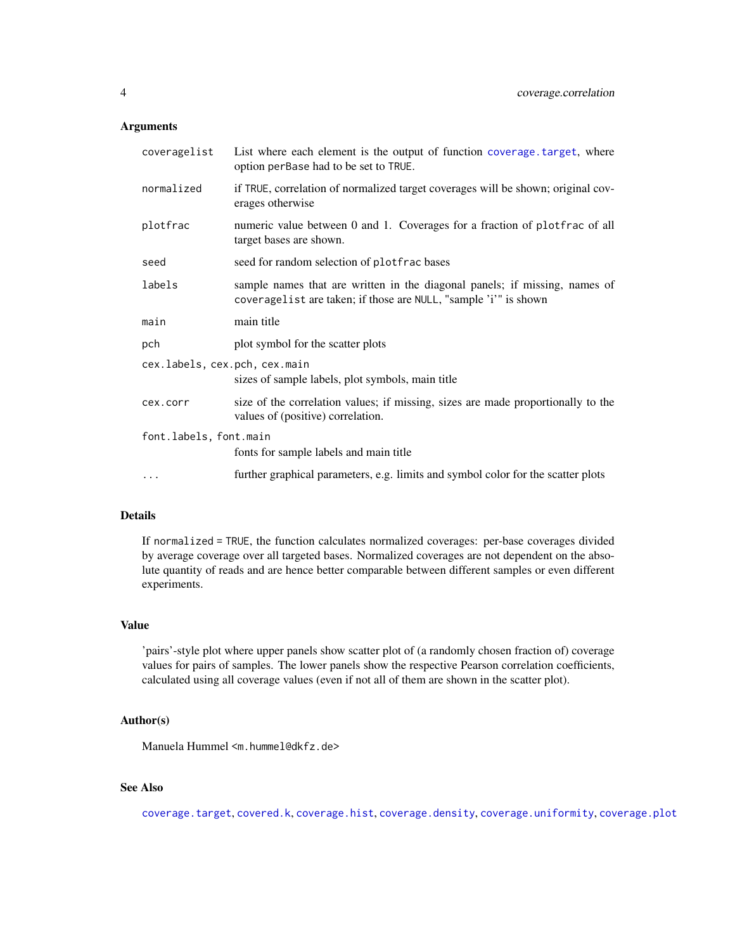### <span id="page-3-0"></span>Arguments

| coveragelist                  | List where each element is the output of function coverage target, where<br>option perBase had to be set to TRUE.                              |
|-------------------------------|------------------------------------------------------------------------------------------------------------------------------------------------|
| normalized                    | if TRUE, correlation of normalized target coverages will be shown; original cov-<br>erages otherwise                                           |
| plotfrac                      | numeric value between 0 and 1. Coverages for a fraction of plotfrac of all<br>target bases are shown.                                          |
| seed                          | seed for random selection of plotfrac bases                                                                                                    |
| labels                        | sample names that are written in the diagonal panels; if missing, names of<br>coveragelist are taken; if those are NULL, "sample 'i'" is shown |
| main                          | main title                                                                                                                                     |
| pch                           | plot symbol for the scatter plots                                                                                                              |
| cex.labels, cex.pch, cex.main | sizes of sample labels, plot symbols, main title                                                                                               |
| cex.corr                      | size of the correlation values; if missing, sizes are made proportionally to the<br>values of (positive) correlation.                          |
| font.labels, font.main        | fonts for sample labels and main title                                                                                                         |
| $\cdots$                      | further graphical parameters, e.g. limits and symbol color for the scatter plots                                                               |

### Details

If normalized = TRUE, the function calculates normalized coverages: per-base coverages divided by average coverage over all targeted bases. Normalized coverages are not dependent on the absolute quantity of reads and are hence better comparable between different samples or even different experiments.

#### Value

'pairs'-style plot where upper panels show scatter plot of (a randomly chosen fraction of) coverage values for pairs of samples. The lower panels show the respective Pearson correlation coefficients, calculated using all coverage values (even if not all of them are shown in the scatter plot).

### Author(s)

Manuela Hummel <m.hummel@dkfz.de>

### See Also

[coverage.target](#page-10-1), [covered.k](#page-14-1), [coverage.hist](#page-7-1), [coverage.density](#page-4-1), [coverage.uniformity](#page-12-1), [coverage.plot](#page-8-1)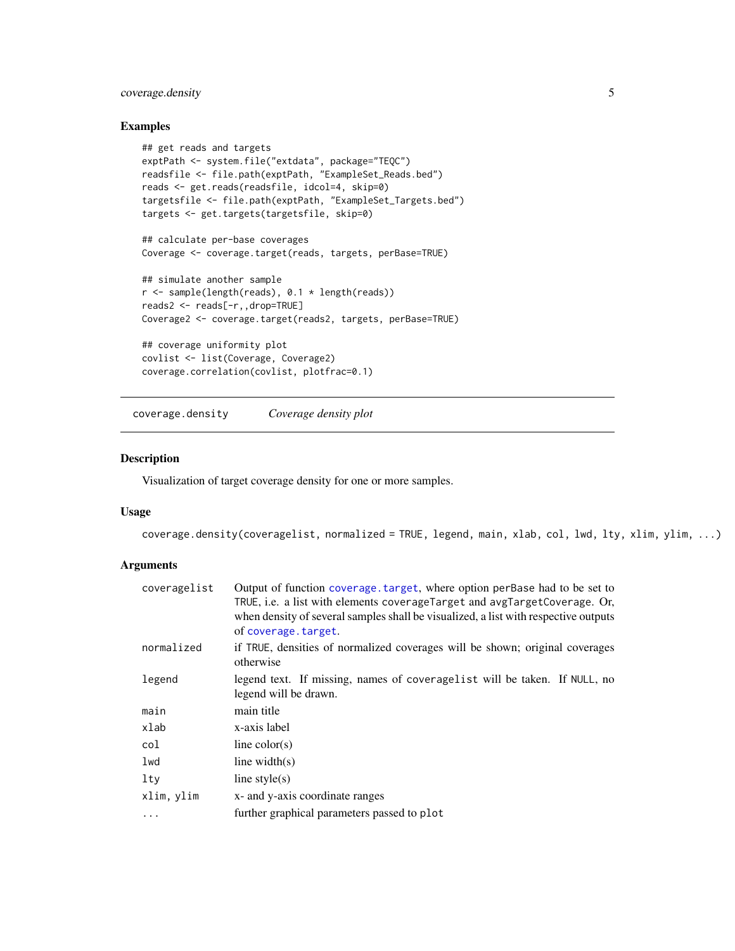### <span id="page-4-0"></span>coverage.density 5

### Examples

```
## get reads and targets
exptPath <- system.file("extdata", package="TEQC")
readsfile <- file.path(exptPath, "ExampleSet_Reads.bed")
reads <- get.reads(readsfile, idcol=4, skip=0)
targetsfile <- file.path(exptPath, "ExampleSet_Targets.bed")
targets <- get.targets(targetsfile, skip=0)
## calculate per-base coverages
Coverage <- coverage.target(reads, targets, perBase=TRUE)
## simulate another sample
r <- sample(length(reads), 0.1 * length(reads))
reads2 <- reads[-r,,drop=TRUE]
Coverage2 <- coverage.target(reads2, targets, perBase=TRUE)
## coverage uniformity plot
covlist <- list(Coverage, Coverage2)
coverage.correlation(covlist, plotfrac=0.1)
```
<span id="page-4-1"></span>coverage.density *Coverage density plot*

#### Description

Visualization of target coverage density for one or more samples.

#### Usage

```
coverage.density(coveragelist, normalized = TRUE, legend, main, xlab, col, lwd, lty, xlim, ylim, ...)
```

| coveragelist | Output of function coverage. target, where option perBase had to be set to<br>TRUE, i.e. a list with elements coverageTarget and avgTargetCoverage. Or,<br>when density of several samples shall be visualized, a list with respective outputs<br>of coverage.target. |
|--------------|-----------------------------------------------------------------------------------------------------------------------------------------------------------------------------------------------------------------------------------------------------------------------|
| normalized   | if TRUE, densities of normalized coverages will be shown; original coverages<br>otherwise                                                                                                                                                                             |
| legend       | legend text. If missing, names of coveragelist will be taken. If NULL, no<br>legend will be drawn.                                                                                                                                                                    |
| main         | main title                                                                                                                                                                                                                                                            |
| xlab         | x-axis label                                                                                                                                                                                                                                                          |
| col          | line $color(s)$                                                                                                                                                                                                                                                       |
| lwd          | line width $(s)$                                                                                                                                                                                                                                                      |
| lty          | line style $(s)$                                                                                                                                                                                                                                                      |
| xlim, ylim   | x- and y-axis coordinate ranges                                                                                                                                                                                                                                       |
| $\cdots$     | further graphical parameters passed to plot                                                                                                                                                                                                                           |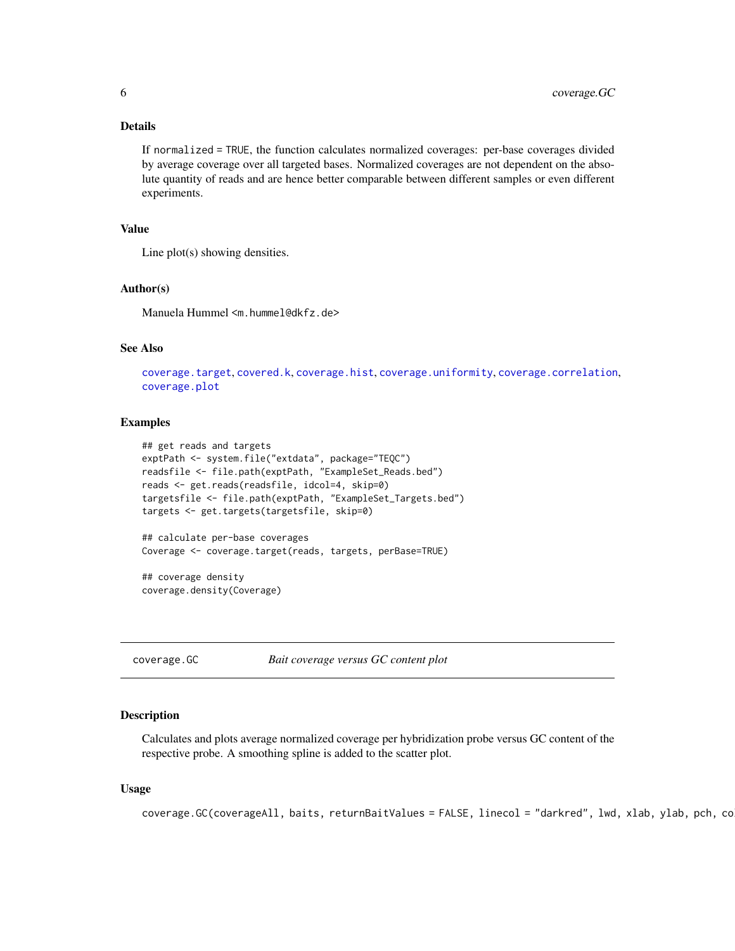### <span id="page-5-0"></span>Details

If normalized = TRUE, the function calculates normalized coverages: per-base coverages divided by average coverage over all targeted bases. Normalized coverages are not dependent on the absolute quantity of reads and are hence better comparable between different samples or even different experiments.

#### Value

Line plot(s) showing densities.

#### Author(s)

Manuela Hummel <m.hummel@dkfz.de>

### See Also

```
coverage.target, covered.k, coverage.hist, coverage.uniformity, coverage.correlation,
coverage.plot
```
### Examples

```
## get reads and targets
exptPath <- system.file("extdata", package="TEQC")
readsfile <- file.path(exptPath, "ExampleSet_Reads.bed")
reads <- get.reads(readsfile, idcol=4, skip=0)
targetsfile <- file.path(exptPath, "ExampleSet_Targets.bed")
targets <- get.targets(targetsfile, skip=0)
## calculate per-base coverages
Coverage <- coverage.target(reads, targets, perBase=TRUE)
```
## coverage density coverage.density(Coverage)

<span id="page-5-1"></span>coverage.GC *Bait coverage versus GC content plot*

### Description

Calculates and plots average normalized coverage per hybridization probe versus GC content of the respective probe. A smoothing spline is added to the scatter plot.

### Usage

```
coverage.GC(coverageAll, baits, returnBaitValues = FALSE, linecol = "darkred", lwd, xlab, ylab, pch, .co
```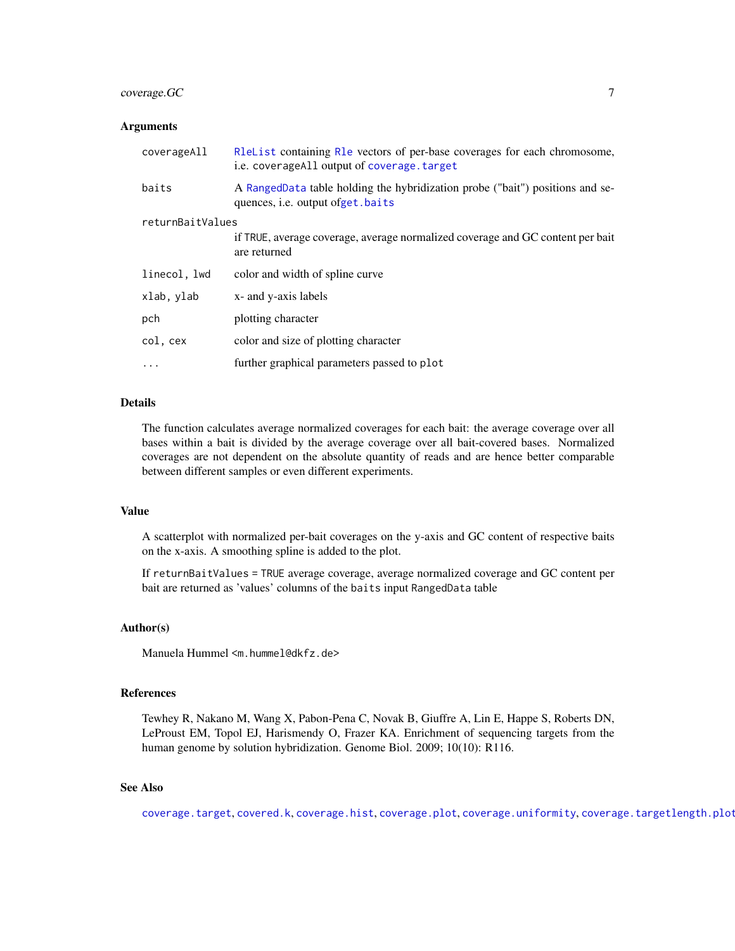### <span id="page-6-0"></span>coverage.GC 7

#### **Arguments**

| coverageAll      | R1eList containing R1e vectors of per-base coverages for each chromosome,<br>i.e. coverage All output of coverage, target |  |  |  |  |
|------------------|---------------------------------------------------------------------------------------------------------------------------|--|--|--|--|
| baits            | A RangedData table holding the hybridization probe ("bait") positions and se-<br>quences, <i>i.e.</i> output ofget. baits |  |  |  |  |
| returnBaitValues |                                                                                                                           |  |  |  |  |
|                  | if TRUE, average coverage, average normalized coverage and GC content per bait<br>are returned                            |  |  |  |  |
| linecol, lwd     | color and width of spline curve                                                                                           |  |  |  |  |
| xlab, ylab       | x- and y-axis labels                                                                                                      |  |  |  |  |
| pch              | plotting character                                                                                                        |  |  |  |  |
| col, cex         | color and size of plotting character                                                                                      |  |  |  |  |
| $\ddotsc$        | further graphical parameters passed to plot                                                                               |  |  |  |  |

### Details

The function calculates average normalized coverages for each bait: the average coverage over all bases within a bait is divided by the average coverage over all bait-covered bases. Normalized coverages are not dependent on the absolute quantity of reads and are hence better comparable between different samples or even different experiments.

#### Value

A scatterplot with normalized per-bait coverages on the y-axis and GC content of respective baits on the x-axis. A smoothing spline is added to the plot.

If returnBaitValues = TRUE average coverage, average normalized coverage and GC content per bait are returned as 'values' columns of the baits input RangedData table

### Author(s)

Manuela Hummel <m.hummel@dkfz.de>

### References

Tewhey R, Nakano M, Wang X, Pabon-Pena C, Novak B, Giuffre A, Lin E, Happe S, Roberts DN, LeProust EM, Topol EJ, Harismendy O, Frazer KA. Enrichment of sequencing targets from the human genome by solution hybridization. Genome Biol. 2009; 10(10): R116.

### See Also

[coverage.target](#page-10-1), [covered.k](#page-14-1), [coverage.hist](#page-7-1), [coverage.plot](#page-8-1), [coverage.uniformity](#page-12-1), [coverage.targetlength.plot](#page-11-1)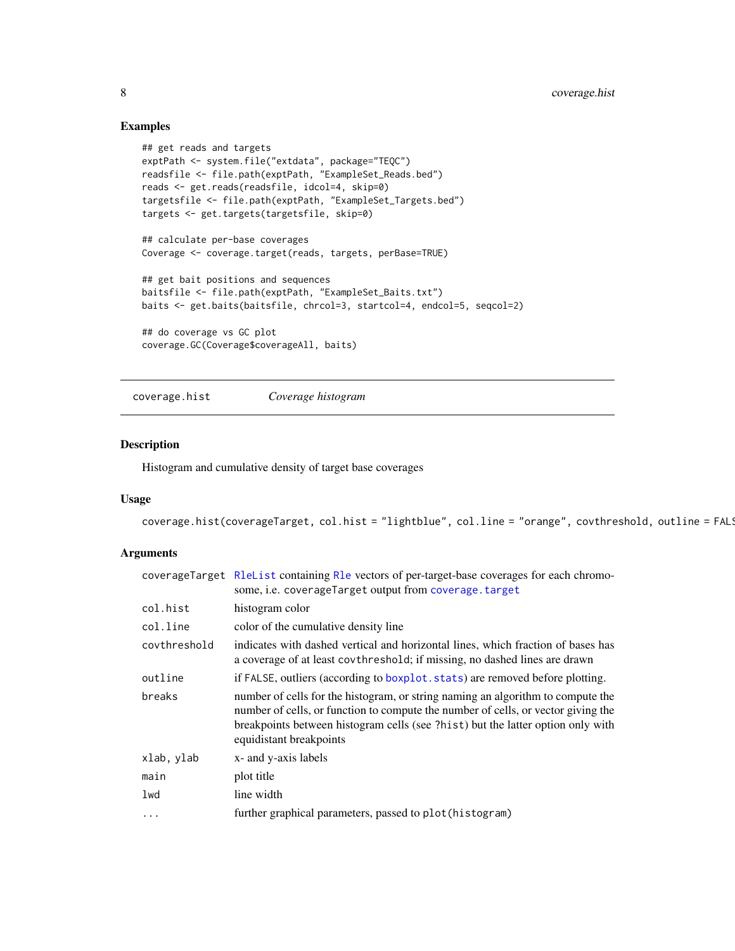### Examples

```
## get reads and targets
exptPath <- system.file("extdata", package="TEQC")
readsfile <- file.path(exptPath, "ExampleSet_Reads.bed")
reads <- get.reads(readsfile, idcol=4, skip=0)
targetsfile <- file.path(exptPath, "ExampleSet_Targets.bed")
targets <- get.targets(targetsfile, skip=0)
## calculate per-base coverages
Coverage <- coverage.target(reads, targets, perBase=TRUE)
## get bait positions and sequences
baitsfile <- file.path(exptPath, "ExampleSet_Baits.txt")
baits <- get.baits(baitsfile, chrcol=3, startcol=4, endcol=5, seqcol=2)
## do coverage vs GC plot
coverage.GC(Coverage$coverageAll, baits)
```
<span id="page-7-1"></span>coverage.hist *Coverage histogram*

### Description

Histogram and cumulative density of target base coverages

### Usage

```
coverage.hist(coverageTarget, col.hist = "lightblue", col.line = "orange", covthreshold, outline = FAL!
```

|              | coverageTarget R1eList containing R1e vectors of per-target-base coverages for each chromo-<br>some, i.e. coverageTarget output from coverage. target                                                                                                                              |
|--------------|------------------------------------------------------------------------------------------------------------------------------------------------------------------------------------------------------------------------------------------------------------------------------------|
| col.hist     | histogram color                                                                                                                                                                                                                                                                    |
| col.line     | color of the cumulative density line                                                                                                                                                                                                                                               |
| covthreshold | indicates with dashed vertical and horizontal lines, which fraction of bases has<br>a coverage of at least covthreshold; if missing, no dashed lines are drawn                                                                                                                     |
| outline      | if FALSE, outliers (according to boxplot stats) are removed before plotting.                                                                                                                                                                                                       |
| breaks       | number of cells for the histogram, or string naming an algorithm to compute the<br>number of cells, or function to compute the number of cells, or vector giving the<br>breakpoints between histogram cells (see ?hist) but the latter option only with<br>equidistant breakpoints |
| xlab, ylab   | x- and y-axis labels                                                                                                                                                                                                                                                               |
| main         | plot title                                                                                                                                                                                                                                                                         |
| lwd          | line width                                                                                                                                                                                                                                                                         |
| $\cdots$     | further graphical parameters, passed to plot (histogram)                                                                                                                                                                                                                           |

<span id="page-7-0"></span>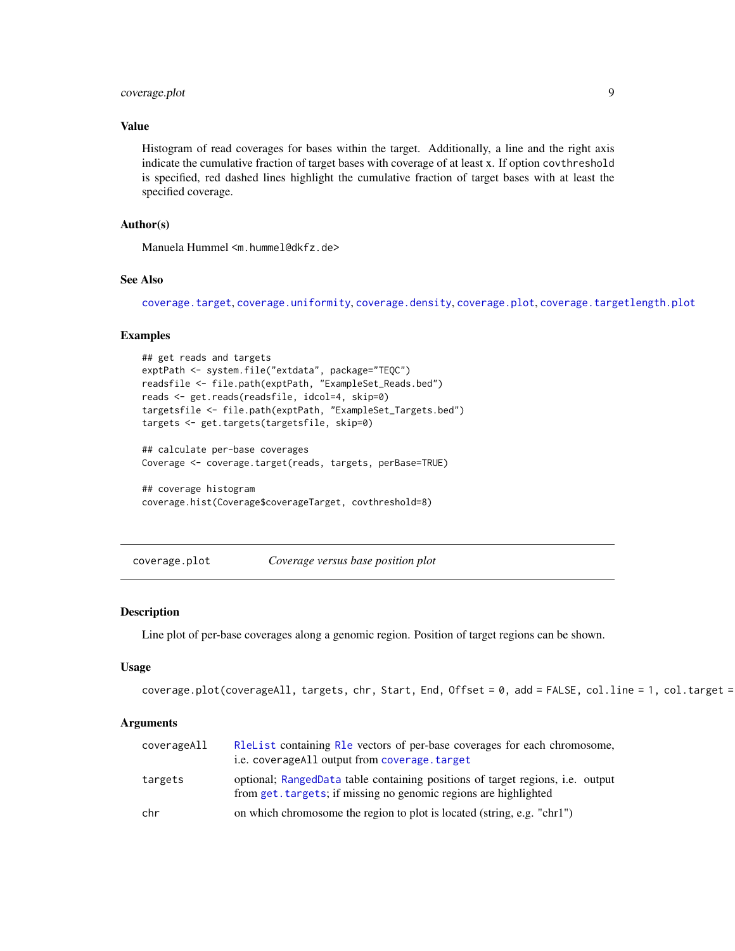### <span id="page-8-0"></span>coverage.plot 9

### Value

Histogram of read coverages for bases within the target. Additionally, a line and the right axis indicate the cumulative fraction of target bases with coverage of at least x. If option covthreshold is specified, red dashed lines highlight the cumulative fraction of target bases with at least the specified coverage.

### Author(s)

Manuela Hummel <m.hummel@dkfz.de>

#### See Also

[coverage.target](#page-10-1), [coverage.uniformity](#page-12-1), [coverage.density](#page-4-1), [coverage.plot](#page-8-1), [coverage.targetlength.plot](#page-11-1)

### Examples

```
## get reads and targets
exptPath <- system.file("extdata", package="TEQC")
readsfile <- file.path(exptPath, "ExampleSet_Reads.bed")
reads <- get.reads(readsfile, idcol=4, skip=0)
targetsfile <- file.path(exptPath, "ExampleSet_Targets.bed")
targets <- get.targets(targetsfile, skip=0)
```

```
## calculate per-base coverages
Coverage <- coverage.target(reads, targets, perBase=TRUE)
```

```
## coverage histogram
coverage.hist(Coverage$coverageTarget, covthreshold=8)
```
<span id="page-8-1"></span>coverage.plot *Coverage versus base position plot*

#### **Description**

Line plot of per-base coverages along a genomic region. Position of target regions can be shown.

### Usage

```
coverage.plot(coverageAll, targets, chr, Start, End, Offset = 0, add = FALSE, col.line = 1, col.target =
```

| coverageAll | Relative containing Relative vectors of per-base coverages for each chromosome,<br>i.e. coverage All output from coverage. target                  |
|-------------|----------------------------------------------------------------------------------------------------------------------------------------------------|
| targets     | optional; RangedData table containing positions of target regions, i.e. output<br>from get. targets; if missing no genomic regions are highlighted |
| chr         | on which chromosome the region to plot is located (string, e.g. "chr1")                                                                            |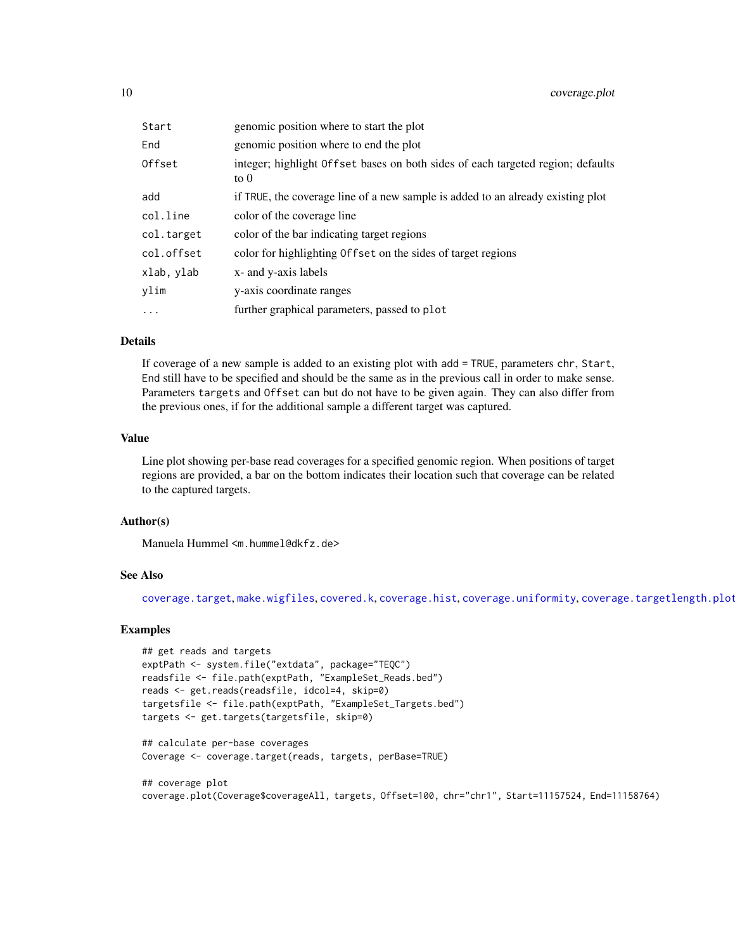<span id="page-9-0"></span>

| Start      | genomic position where to start the plot                                                       |
|------------|------------------------------------------------------------------------------------------------|
| End        | genomic position where to end the plot                                                         |
| Offset     | integer; highlight Offset bases on both sides of each targeted region; defaults<br>to $\theta$ |
| add        | if TRUE, the coverage line of a new sample is added to an already existing plot                |
| col.line   | color of the coverage line                                                                     |
| col.target | color of the bar indicating target regions                                                     |
| col.offset | color for highlighting Offset on the sides of target regions                                   |
| xlab, ylab | x- and y-axis labels                                                                           |
| vlim       | y-axis coordinate ranges                                                                       |
| $\ddots$   | further graphical parameters, passed to plot                                                   |

### Details

If coverage of a new sample is added to an existing plot with add = TRUE, parameters chr, Start, End still have to be specified and should be the same as in the previous call in order to make sense. Parameters targets and Offset can but do not have to be given again. They can also differ from the previous ones, if for the additional sample a different target was captured.

### Value

Line plot showing per-base read coverages for a specified genomic region. When positions of target regions are provided, a bar on the bottom indicates their location such that coverage can be related to the captured targets.

### Author(s)

Manuela Hummel <m.hummel@dkfz.de>

### See Also

[coverage.target](#page-10-1), [make.wigfiles](#page-24-1), [covered.k](#page-14-1), [coverage.hist](#page-7-1), [coverage.uniformity](#page-12-1), [coverage.targetlength.plot](#page-11-1)

#### Examples

```
## get reads and targets
exptPath <- system.file("extdata", package="TEQC")
readsfile <- file.path(exptPath, "ExampleSet_Reads.bed")
reads <- get.reads(readsfile, idcol=4, skip=0)
targetsfile <- file.path(exptPath, "ExampleSet_Targets.bed")
targets <- get.targets(targetsfile, skip=0)
```
## calculate per-base coverages Coverage <- coverage.target(reads, targets, perBase=TRUE)

## coverage plot coverage.plot(Coverage\$coverageAll, targets, Offset=100, chr="chr1", Start=11157524, End=11158764)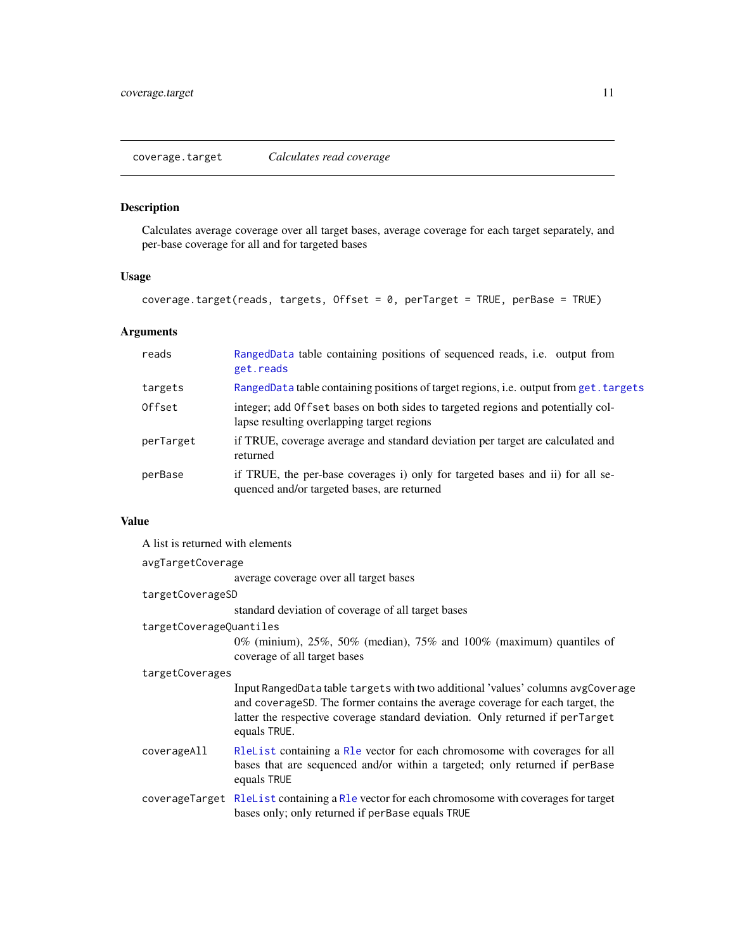### <span id="page-10-1"></span><span id="page-10-0"></span>Description

Calculates average coverage over all target bases, average coverage for each target separately, and per-base coverage for all and for targeted bases

### Usage

coverage.target(reads, targets, Offset = 0, perTarget = TRUE, perBase = TRUE)

### Arguments

| reads     | RangedData table containing positions of sequenced reads, i.e. output from<br>get.reads                                        |
|-----------|--------------------------------------------------------------------------------------------------------------------------------|
| targets   | RangedData table containing positions of target regions, i.e. output from get. targets                                         |
| Offset    | integer; add Offset bases on both sides to targeted regions and potentially col-<br>lapse resulting overlapping target regions |
| perTarget | if TRUE, coverage average and standard deviation per target are calculated and<br>returned                                     |
| perBase   | if TRUE, the per-base coverages i) only for targeted bases and ii) for all se-<br>quenced and/or targeted bases, are returned  |

### Value

A list is returned with elements

| avgTargetCoverage       |                                                                                                                                                                                                                                                                   |  |  |  |  |
|-------------------------|-------------------------------------------------------------------------------------------------------------------------------------------------------------------------------------------------------------------------------------------------------------------|--|--|--|--|
|                         | average coverage over all target bases                                                                                                                                                                                                                            |  |  |  |  |
| targetCoverageSD        |                                                                                                                                                                                                                                                                   |  |  |  |  |
|                         | standard deviation of coverage of all target bases                                                                                                                                                                                                                |  |  |  |  |
| targetCoverageQuantiles |                                                                                                                                                                                                                                                                   |  |  |  |  |
|                         | 0% (minium), $25\%$ , 50% (median), 75% and 100% (maximum) quantiles of<br>coverage of all target bases                                                                                                                                                           |  |  |  |  |
|                         | targetCoverages                                                                                                                                                                                                                                                   |  |  |  |  |
|                         | Input RangedData table targets with two additional 'values' columns avgCoverage<br>and coverageSD. The former contains the average coverage for each target, the<br>latter the respective coverage standard deviation. Only returned if perTarget<br>equals TRUE. |  |  |  |  |
| coverageAll             | Release to containing a Re vector for each chromosome with coverages for all<br>bases that are sequenced and/or within a targeted; only returned if per Base<br>equals TRUE                                                                                       |  |  |  |  |
|                         | coverage Target R1eList containing a R1e vector for each chromosome with coverages for target<br>bases only; only returned if perBase equals TRUE                                                                                                                 |  |  |  |  |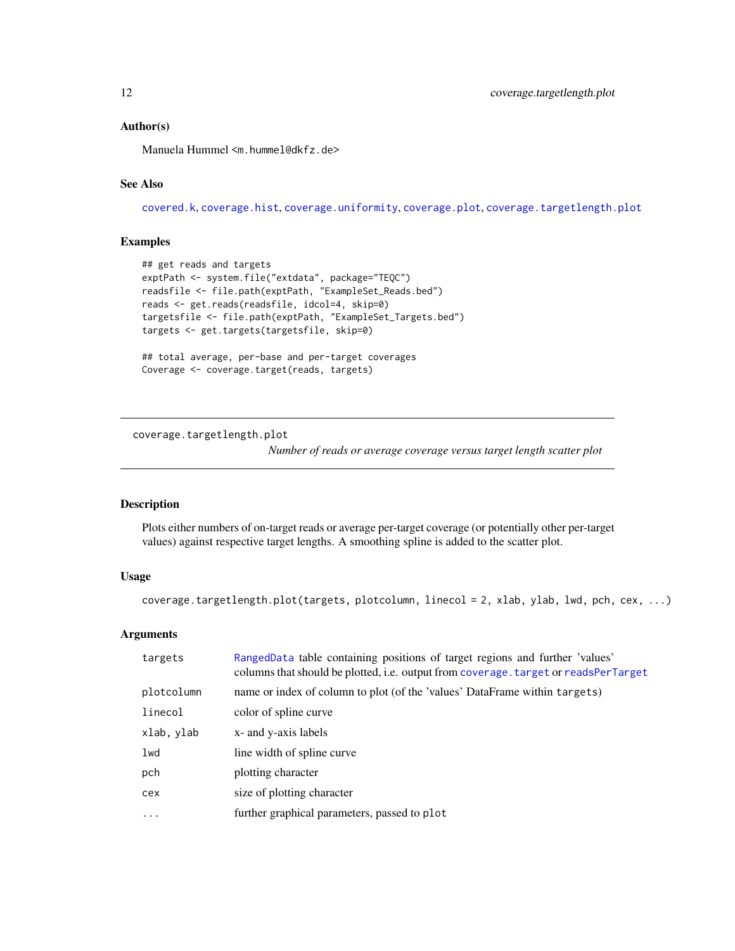### <span id="page-11-0"></span>Author(s)

Manuela Hummel <m.hummel@dkfz.de>

### See Also

[covered.k](#page-14-1), [coverage.hist](#page-7-1), [coverage.uniformity](#page-12-1), [coverage.plot](#page-8-1), [coverage.targetlength.plot](#page-11-1)

### Examples

```
## get reads and targets
exptPath <- system.file("extdata", package="TEQC")
readsfile <- file.path(exptPath, "ExampleSet_Reads.bed")
reads <- get.reads(readsfile, idcol=4, skip=0)
targetsfile <- file.path(exptPath, "ExampleSet_Targets.bed")
targets <- get.targets(targetsfile, skip=0)
## total average, per-base and per-target coverages
Coverage <- coverage.target(reads, targets)
```
<span id="page-11-1"></span>coverage.targetlength.plot

*Number of reads or average coverage versus target length scatter plot*

#### Description

Plots either numbers of on-target reads or average per-target coverage (or potentially other per-target values) against respective target lengths. A smoothing spline is added to the scatter plot.

### Usage

coverage.targetlength.plot(targets, plotcolumn, linecol = 2, xlab, ylab, lwd, pch, cex, ...)

| targets    | RangedData table containing positions of target regions and further 'values'<br>columns that should be plotted, i.e. output from coverage. target or readsPerTarget |
|------------|---------------------------------------------------------------------------------------------------------------------------------------------------------------------|
| plotcolumn | name or index of column to plot (of the 'values' DataFrame within targets)                                                                                          |
| linecol    | color of spline curve                                                                                                                                               |
| xlab, ylab | x- and y-axis labels                                                                                                                                                |
| lwd        | line width of spline curve.                                                                                                                                         |
| pch        | plotting character                                                                                                                                                  |
| cex        | size of plotting character                                                                                                                                          |
| $\cdot$    | further graphical parameters, passed to plot                                                                                                                        |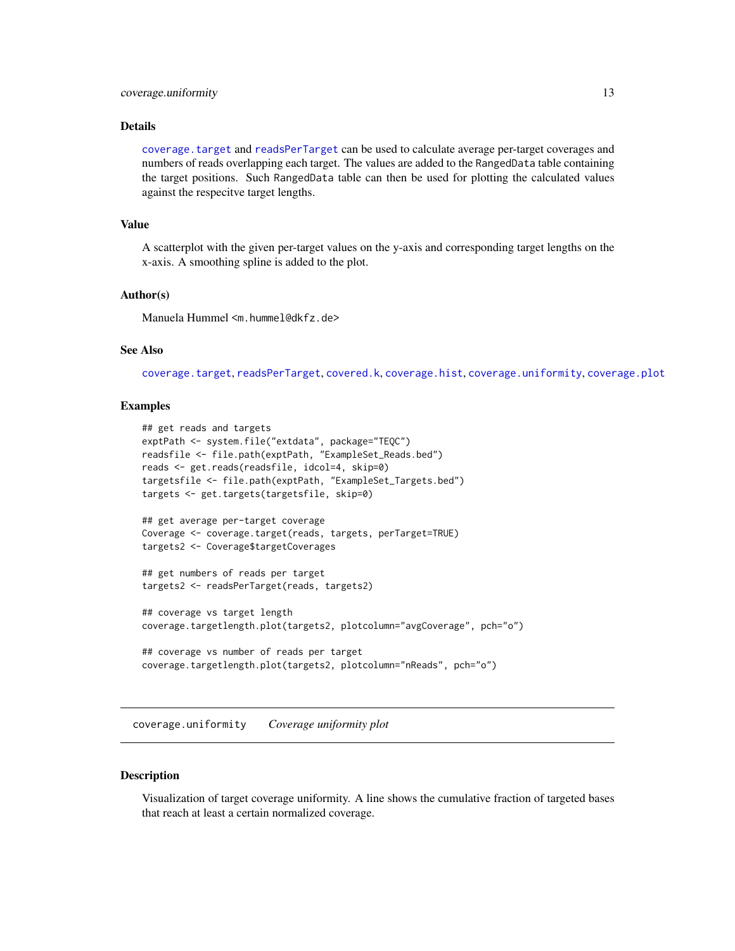### <span id="page-12-0"></span>coverage.uniformity 13

#### Details

[coverage.target](#page-10-1) and [readsPerTarget](#page-28-1) can be used to calculate average per-target coverages and numbers of reads overlapping each target. The values are added to the RangedData table containing the target positions. Such RangedData table can then be used for plotting the calculated values against the respecitve target lengths.

#### Value

A scatterplot with the given per-target values on the y-axis and corresponding target lengths on the x-axis. A smoothing spline is added to the plot.

#### Author(s)

Manuela Hummel <m.hummel@dkfz.de>

### See Also

[coverage.target](#page-10-1), [readsPerTarget](#page-28-1), [covered.k](#page-14-1), [coverage.hist](#page-7-1), [coverage.uniformity](#page-12-1), [coverage.plot](#page-8-1)

### Examples

```
## get reads and targets
exptPath <- system.file("extdata", package="TEQC")
readsfile <- file.path(exptPath, "ExampleSet_Reads.bed")
reads <- get.reads(readsfile, idcol=4, skip=0)
targetsfile <- file.path(exptPath, "ExampleSet_Targets.bed")
targets <- get.targets(targetsfile, skip=0)
## get average per-target coverage
Coverage <- coverage.target(reads, targets, perTarget=TRUE)
targets2 <- Coverage$targetCoverages
## get numbers of reads per target
targets2 <- readsPerTarget(reads, targets2)
## coverage vs target length
coverage.targetlength.plot(targets2, plotcolumn="avgCoverage", pch="o")
## coverage vs number of reads per target
coverage.targetlength.plot(targets2, plotcolumn="nReads", pch="o")
```
<span id="page-12-1"></span>coverage.uniformity *Coverage uniformity plot*

#### Description

Visualization of target coverage uniformity. A line shows the cumulative fraction of targeted bases that reach at least a certain normalized coverage.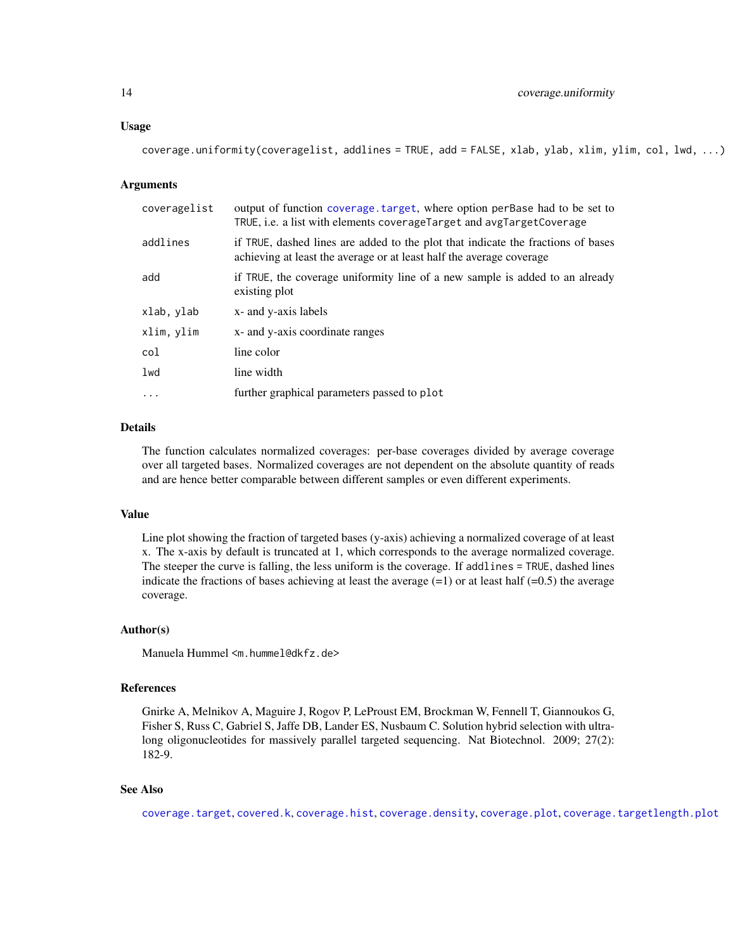#### <span id="page-13-0"></span>Usage

| () coverage.uniformity(coveragelist, addlines = TRUE, add = FALSE, xlab, ylab, xlim, ylim, col, lwd, |  |  |  |
|------------------------------------------------------------------------------------------------------|--|--|--|
|                                                                                                      |  |  |  |

#### Arguments

| coveragelist | output of function coverage target, where option per ase had to be set to<br>TRUE, i.e. a list with elements coverageTarget and avgTargetCoverage        |
|--------------|----------------------------------------------------------------------------------------------------------------------------------------------------------|
| addlines     | if TRUE, dashed lines are added to the plot that indicate the fractions of bases<br>achieving at least the average or at least half the average coverage |
| add          | if TRUE, the coverage uniformity line of a new sample is added to an already<br>existing plot                                                            |
| xlab, ylab   | x- and y-axis labels                                                                                                                                     |
| xlim, ylim   | x- and y-axis coordinate ranges                                                                                                                          |
| col          | line color                                                                                                                                               |
| lwd          | line width                                                                                                                                               |
| $\ddots$     | further graphical parameters passed to plot                                                                                                              |

#### Details

The function calculates normalized coverages: per-base coverages divided by average coverage over all targeted bases. Normalized coverages are not dependent on the absolute quantity of reads and are hence better comparable between different samples or even different experiments.

### Value

Line plot showing the fraction of targeted bases (y-axis) achieving a normalized coverage of at least x. The x-axis by default is truncated at 1, which corresponds to the average normalized coverage. The steeper the curve is falling, the less uniform is the coverage. If addlines = TRUE, dashed lines indicate the fractions of bases achieving at least the average  $(=1)$  or at least half  $(=0.5)$  the average coverage.

#### Author(s)

Manuela Hummel <m.hummel@dkfz.de>

#### References

Gnirke A, Melnikov A, Maguire J, Rogov P, LeProust EM, Brockman W, Fennell T, Giannoukos G, Fisher S, Russ C, Gabriel S, Jaffe DB, Lander ES, Nusbaum C. Solution hybrid selection with ultralong oligonucleotides for massively parallel targeted sequencing. Nat Biotechnol. 2009; 27(2): 182-9.

#### See Also

[coverage.target](#page-10-1), [covered.k](#page-14-1), [coverage.hist](#page-7-1), [coverage.density](#page-4-1), [coverage.plot](#page-8-1), [coverage.targetlength.plot](#page-11-1)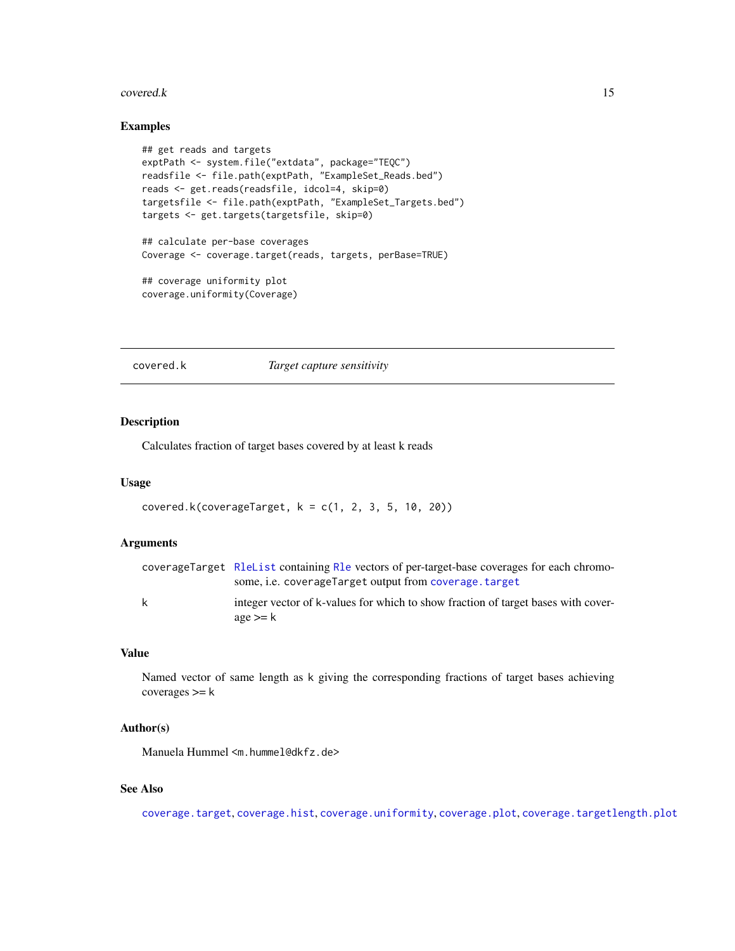#### <span id="page-14-0"></span>covered.k 15

### Examples

```
## get reads and targets
exptPath <- system.file("extdata", package="TEQC")
readsfile <- file.path(exptPath, "ExampleSet_Reads.bed")
reads <- get.reads(readsfile, idcol=4, skip=0)
targetsfile <- file.path(exptPath, "ExampleSet_Targets.bed")
targets <- get.targets(targetsfile, skip=0)
## calculate per-base coverages
Coverage <- coverage.target(reads, targets, perBase=TRUE)
## coverage uniformity plot
coverage.uniformity(Coverage)
```
### <span id="page-14-1"></span>covered.k *Target capture sensitivity*

### Description

Calculates fraction of target bases covered by at least k reads

### Usage

```
covered.k(coverageTarget, k = c(1, 2, 3, 5, 10, 20))
```
### Arguments

|   | coverageTarget R1eList containing R1e vectors of per-target-base coverages for each chromo-     |
|---|-------------------------------------------------------------------------------------------------|
|   | some, <i>i.e.</i> coverage arget output from coverage, target                                   |
| k | integer vector of k-values for which to show fraction of target bases with cover-<br>$age$ >= k |
|   |                                                                                                 |

### Value

Named vector of same length as k giving the corresponding fractions of target bases achieving coverages >= k

#### Author(s)

Manuela Hummel <m.hummel@dkfz.de>

### See Also

[coverage.target](#page-10-1), [coverage.hist](#page-7-1), [coverage.uniformity](#page-12-1), [coverage.plot](#page-8-1), [coverage.targetlength.plot](#page-11-1)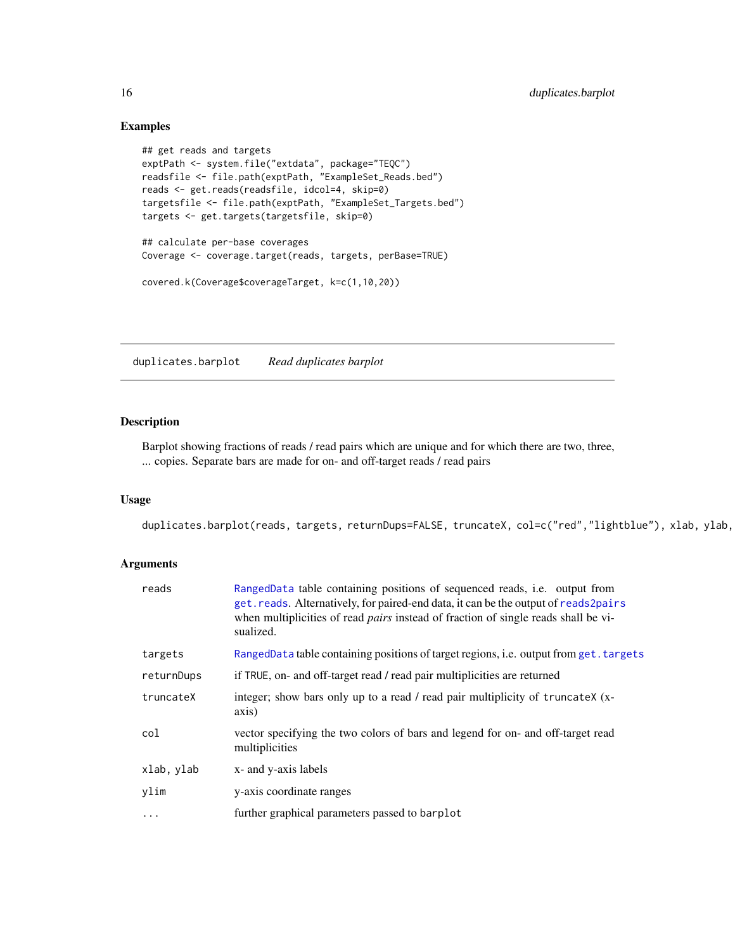### Examples

```
## get reads and targets
exptPath <- system.file("extdata", package="TEQC")
readsfile <- file.path(exptPath, "ExampleSet_Reads.bed")
reads <- get.reads(readsfile, idcol=4, skip=0)
targetsfile <- file.path(exptPath, "ExampleSet_Targets.bed")
targets <- get.targets(targetsfile, skip=0)
## calculate per-base coverages
Coverage <- coverage.target(reads, targets, perBase=TRUE)
covered.k(Coverage$coverageTarget, k=c(1,10,20))
```
<span id="page-15-1"></span>duplicates.barplot *Read duplicates barplot*

### Description

Barplot showing fractions of reads / read pairs which are unique and for which there are two, three, ... copies. Separate bars are made for on- and off-target reads / read pairs

### Usage

duplicates.barplot(reads, targets, returnDups=FALSE, truncateX, col=c("red","lightblue"), xlab, ylab,

| reads      | RangedData table containing positions of sequenced reads, i.e. output from<br>get. reads. Alternatively, for paired-end data, it can be the output of reads2pairs<br>when multiplicities of read <i>pairs</i> instead of fraction of single reads shall be vi-<br>sualized. |
|------------|-----------------------------------------------------------------------------------------------------------------------------------------------------------------------------------------------------------------------------------------------------------------------------|
| targets    | RangedData table containing positions of target regions, i.e. output from get. targets                                                                                                                                                                                      |
| returnDups | if TRUE, on- and off-target read / read pair multiplicities are returned                                                                                                                                                                                                    |
| truncateX  | integer; show bars only up to a read / read pair multiplicity of truncateX (x-<br>axis)                                                                                                                                                                                     |
| col        | vector specifying the two colors of bars and legend for on- and off-target read<br>multiplicities                                                                                                                                                                           |
| xlab, ylab | x- and y-axis labels                                                                                                                                                                                                                                                        |
| ylim       | y-axis coordinate ranges                                                                                                                                                                                                                                                    |
| $\cdots$   | further graphical parameters passed to barplot                                                                                                                                                                                                                              |

<span id="page-15-0"></span>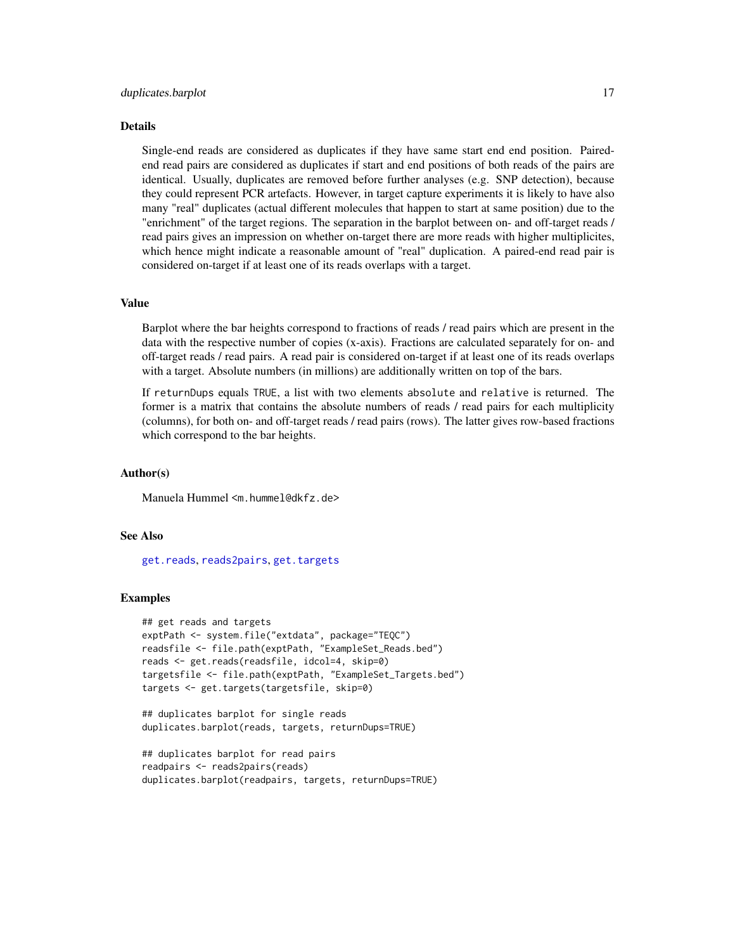### Details

Single-end reads are considered as duplicates if they have same start end end position. Pairedend read pairs are considered as duplicates if start and end positions of both reads of the pairs are identical. Usually, duplicates are removed before further analyses (e.g. SNP detection), because they could represent PCR artefacts. However, in target capture experiments it is likely to have also many "real" duplicates (actual different molecules that happen to start at same position) due to the "enrichment" of the target regions. The separation in the barplot between on- and off-target reads / read pairs gives an impression on whether on-target there are more reads with higher multiplicites, which hence might indicate a reasonable amount of "real" duplication. A paired-end read pair is considered on-target if at least one of its reads overlaps with a target.

#### Value

Barplot where the bar heights correspond to fractions of reads / read pairs which are present in the data with the respective number of copies (x-axis). Fractions are calculated separately for on- and off-target reads / read pairs. A read pair is considered on-target if at least one of its reads overlaps with a target. Absolute numbers (in millions) are additionally written on top of the bars.

If returnDups equals TRUE, a list with two elements absolute and relative is returned. The former is a matrix that contains the absolute numbers of reads / read pairs for each multiplicity (columns), for both on- and off-target reads / read pairs (rows). The latter gives row-based fractions which correspond to the bar heights.

### Author(s)

Manuela Hummel <m.hummel@dkfz.de>

#### See Also

[get.reads](#page-20-1), [reads2pairs](#page-27-1), [get.targets](#page-22-1)

#### Examples

```
## get reads and targets
exptPath <- system.file("extdata", package="TEQC")
readsfile <- file.path(exptPath, "ExampleSet_Reads.bed")
reads <- get.reads(readsfile, idcol=4, skip=0)
targetsfile <- file.path(exptPath, "ExampleSet_Targets.bed")
targets <- get.targets(targetsfile, skip=0)
```

```
## duplicates barplot for single reads
duplicates.barplot(reads, targets, returnDups=TRUE)
```

```
## duplicates barplot for read pairs
readpairs <- reads2pairs(reads)
duplicates.barplot(readpairs, targets, returnDups=TRUE)
```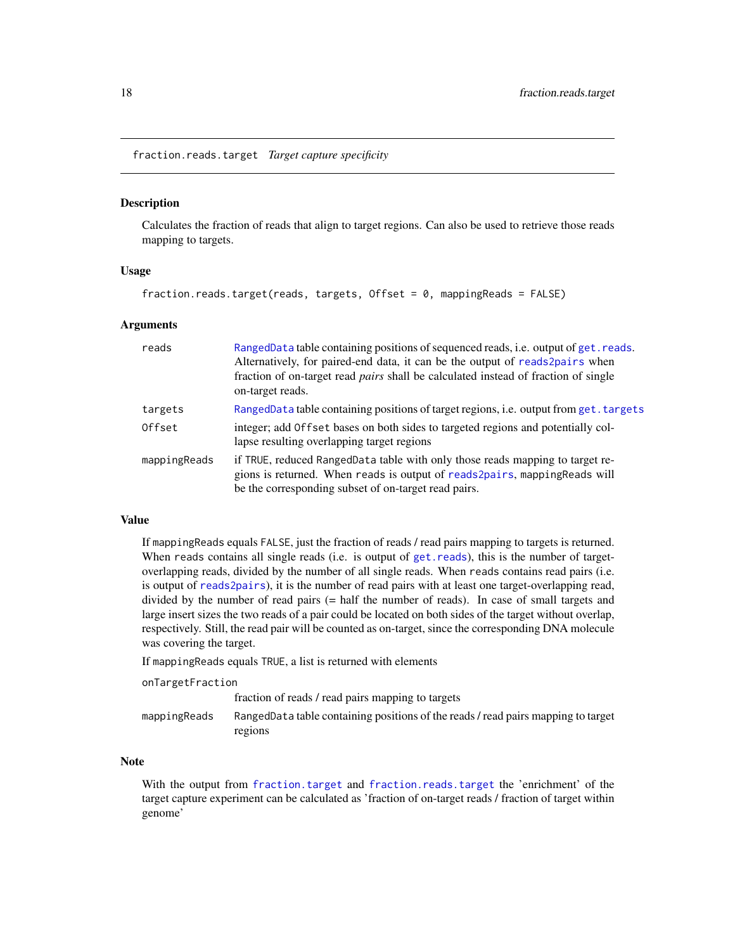<span id="page-17-1"></span><span id="page-17-0"></span>fraction.reads.target *Target capture specificity*

#### Description

Calculates the fraction of reads that align to target regions. Can also be used to retrieve those reads mapping to targets.

### Usage

```
fraction.reads.target(reads, targets, Offset = 0, mappingReads = FALSE)
```
#### **Arguments**

| reads        | RangedData table containing positions of sequenced reads, i.e. output of get. reads.<br>Alternatively, for paired-end data, it can be the output of reads2pairs when<br>fraction of on-target read <i>pairs</i> shall be calculated instead of fraction of single<br>on-target reads. |
|--------------|---------------------------------------------------------------------------------------------------------------------------------------------------------------------------------------------------------------------------------------------------------------------------------------|
| targets      | RangedData table containing positions of target regions, i.e. output from get. targets                                                                                                                                                                                                |
| Offset       | integer; add Offset bases on both sides to targeted regions and potentially col-<br>lapse resulting overlapping target regions                                                                                                                                                        |
| mappingReads | if TRUE, reduced RangedData table with only those reads mapping to target re-<br>gions is returned. When reads is output of reads2pairs, mappingReads will<br>be the corresponding subset of on-target read pairs.                                                                    |

#### Value

If mappingReads equals FALSE, just the fraction of reads / read pairs mapping to targets is returned. When reads contains all single reads (i.e. is output of [get.reads](#page-20-1)), this is the number of targetoverlapping reads, divided by the number of all single reads. When reads contains read pairs (i.e. is output of [reads2pairs](#page-27-1)), it is the number of read pairs with at least one target-overlapping read, divided by the number of read pairs (= half the number of reads). In case of small targets and large insert sizes the two reads of a pair could be located on both sides of the target without overlap, respectively. Still, the read pair will be counted as on-target, since the corresponding DNA molecule was covering the target.

If mappingReads equals TRUE, a list is returned with elements

onTargetFraction

|              | fraction of reads / read pairs mapping to targets                                 |
|--------------|-----------------------------------------------------------------------------------|
| mappingReads | RangedData table containing positions of the reads / read pairs mapping to target |
|              | regions                                                                           |

### Note

With the output from [fraction.target](#page-18-1) and [fraction.reads.target](#page-17-1) the 'enrichment' of the target capture experiment can be calculated as 'fraction of on-target reads / fraction of target within genome'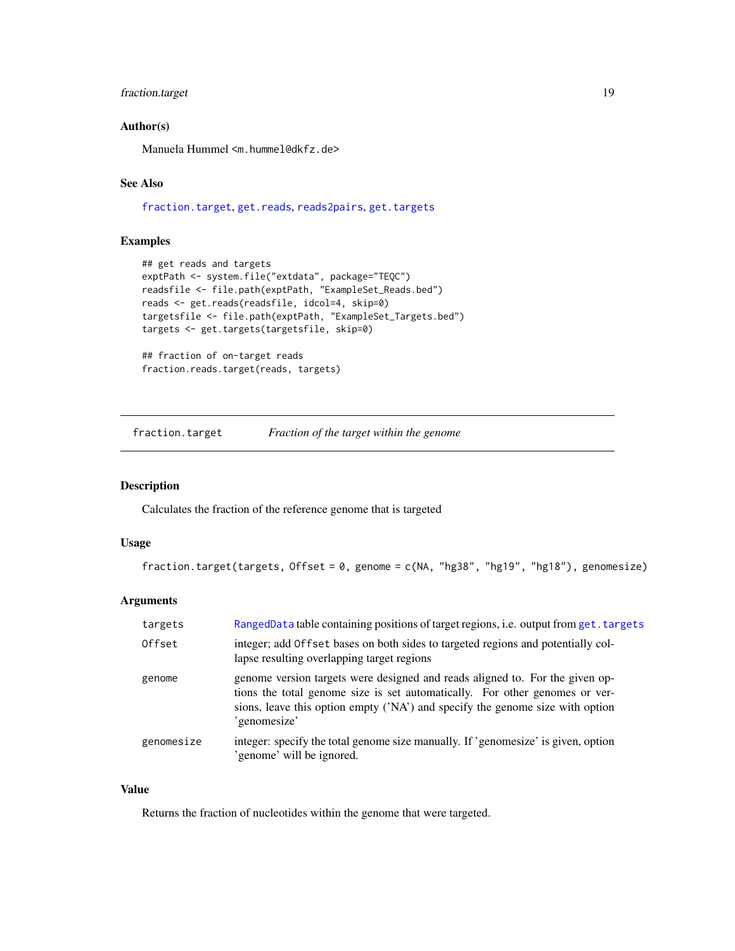### <span id="page-18-0"></span>fraction.target 19

### Author(s)

Manuela Hummel <m.hummel@dkfz.de>

### See Also

[fraction.target](#page-18-1), [get.reads](#page-20-1), [reads2pairs](#page-27-1), [get.targets](#page-22-1)

### Examples

```
## get reads and targets
exptPath <- system.file("extdata", package="TEQC")
readsfile <- file.path(exptPath, "ExampleSet_Reads.bed")
reads <- get.reads(readsfile, idcol=4, skip=0)
targetsfile <- file.path(exptPath, "ExampleSet_Targets.bed")
targets <- get.targets(targetsfile, skip=0)
## fraction of on-target reads
fraction.reads.target(reads, targets)
```
<span id="page-18-1"></span>fraction.target *Fraction of the target within the genome*

### Description

Calculates the fraction of the reference genome that is targeted

### Usage

```
fraction.target(targets, Offset = 0, genome = c(NA, "hg38", "hg19", "hg18"), genomesize)
```
### Arguments

| targets    | RangedData table containing positions of target regions, i.e. output from get. targets                                                                                                                                                                       |
|------------|--------------------------------------------------------------------------------------------------------------------------------------------------------------------------------------------------------------------------------------------------------------|
| Offset     | integer; add Offset bases on both sides to targeted regions and potentially col-<br>lapse resulting overlapping target regions                                                                                                                               |
| genome     | genome version targets were designed and reads aligned to. For the given op-<br>tions the total genome size is set automatically. For other genomes or ver-<br>sions, leave this option empty ('NA') and specify the genome size with option<br>'genomesize' |
| genomesize | integer: specify the total genome size manually. If 'genomesize' is given, option<br>'genome' will be ignored.                                                                                                                                               |

#### Value

Returns the fraction of nucleotides within the genome that were targeted.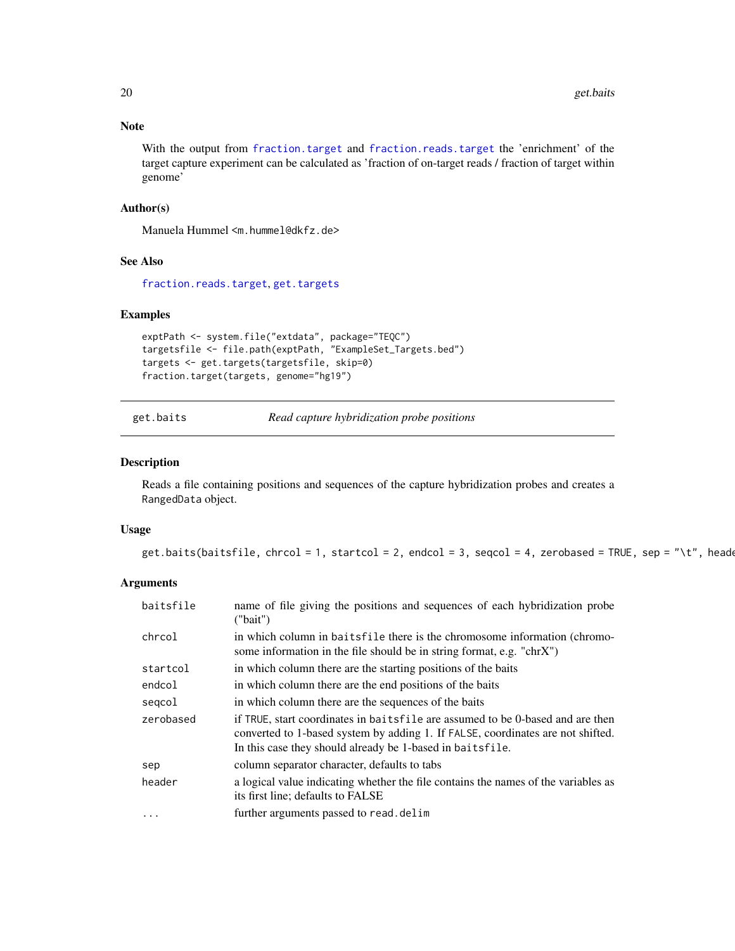### Note

With the output from [fraction.target](#page-18-1) and [fraction.reads.target](#page-17-1) the 'enrichment' of the target capture experiment can be calculated as 'fraction of on-target reads / fraction of target within genome'

### Author(s)

Manuela Hummel <m.hummel@dkfz.de>

### See Also

[fraction.reads.target](#page-17-1), [get.targets](#page-22-1)

### Examples

```
exptPath <- system.file("extdata", package="TEQC")
targetsfile <- file.path(exptPath, "ExampleSet_Targets.bed")
targets <- get.targets(targetsfile, skip=0)
fraction.target(targets, genome="hg19")
```
<span id="page-19-1"></span>get.baits *Read capture hybridization probe positions*

### **Description**

Reads a file containing positions and sequences of the capture hybridization probes and creates a RangedData object.

### Usage

```
get.baits(baitsfile, chrcol = 1, startcol = 2, endcol = 3, seqcol = 4, zerobased = TRUE, sep = "\t", header
```

| baitsfile | name of file giving the positions and sequences of each hybridization probe<br>("bait")                                                                                                                                        |
|-----------|--------------------------------------------------------------------------------------------------------------------------------------------------------------------------------------------------------------------------------|
| chrcol    | in which column in baitsfile there is the chromosome information (chromo-<br>some information in the file should be in string format, e.g. "chr $X$ ")                                                                         |
| startcol  | in which column there are the starting positions of the baits                                                                                                                                                                  |
| endcol    | in which column there are the end positions of the baits                                                                                                                                                                       |
| segcol    | in which column there are the sequences of the baits                                                                                                                                                                           |
| zerobased | if TRUE, start coordinates in baitsfile are assumed to be 0-based and are then<br>converted to 1-based system by adding 1. If FALSE, coordinates are not shifted.<br>In this case they should already be 1-based in baitsfile. |
| sep       | column separator character, defaults to tabs                                                                                                                                                                                   |
| header    | a logical value indicating whether the file contains the names of the variables as<br>its first line; defaults to FALSE                                                                                                        |
| $\cdots$  | further arguments passed to read. delim                                                                                                                                                                                        |

<span id="page-19-0"></span>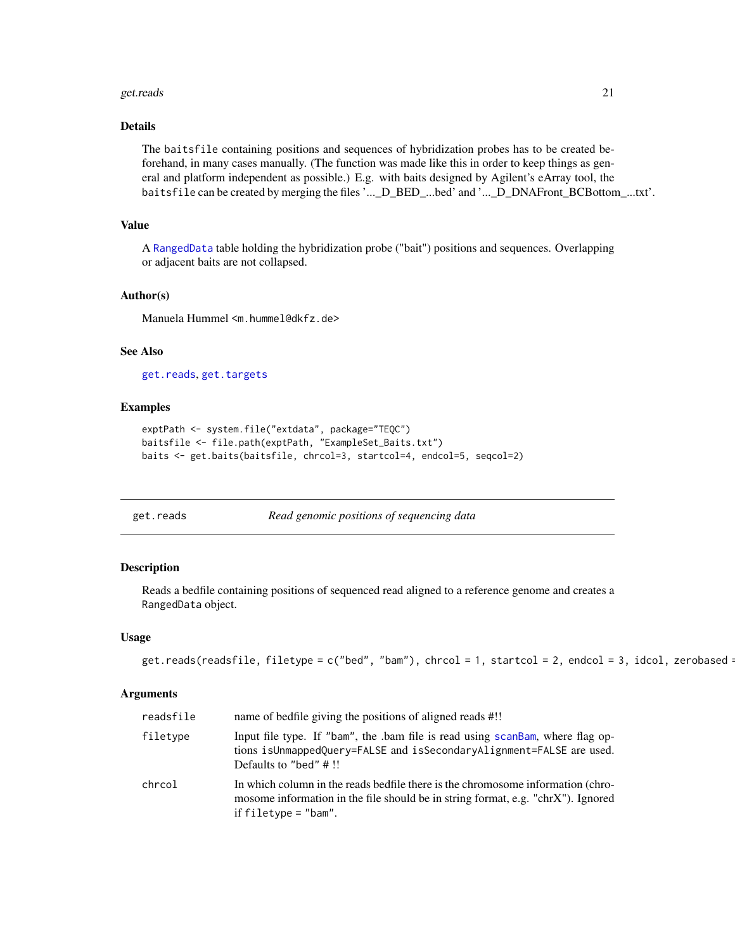#### <span id="page-20-0"></span>get.reads 21

### Details

The baitsfile containing positions and sequences of hybridization probes has to be created beforehand, in many cases manually. (The function was made like this in order to keep things as general and platform independent as possible.) E.g. with baits designed by Agilent's eArray tool, the baitsfile can be created by merging the files '...\_D\_BED\_...bed' and '...\_D\_DNAFront\_BCBottom\_...txt'.

### Value

A [RangedData](#page-0-0) table holding the hybridization probe ("bait") positions and sequences. Overlapping or adjacent baits are not collapsed.

### Author(s)

Manuela Hummel <m.hummel@dkfz.de>

### See Also

[get.reads](#page-20-1), [get.targets](#page-22-1)

### Examples

```
exptPath <- system.file("extdata", package="TEQC")
baitsfile <- file.path(exptPath, "ExampleSet_Baits.txt")
baits <- get.baits(baitsfile, chrcol=3, startcol=4, endcol=5, seqcol=2)
```
<span id="page-20-1"></span>get.reads *Read genomic positions of sequencing data*

### Description

Reads a bedfile containing positions of sequenced read aligned to a reference genome and creates a RangedData object.

#### Usage

```
get.reads(readsfile, filetype = c("bed", "bam"), chrcol = 1, startcol = 2, endcol = 3, idcol, zerobased = 1, sldud = 1, startcol = 1, startcol = 1, startcol = 1, startcol = 1, startcol = 1, startcol = 1, startcol = 1, startcol = 1, startcol = 1, startcol = 1, startcol = 1, startcol = 1, startcol = 1, startcol = 1, startcol = 1, startcol = 1, startcol = 1, startcol = 1, startcol = 1, startcol = 1, startcol =
```

| readsfile | name of bedfile giving the positions of aligned reads #!!                                                                                                                                      |
|-----------|------------------------------------------------------------------------------------------------------------------------------------------------------------------------------------------------|
| filetype  | Input file type. If "bam", the bam file is read using scanBam, where flag op-<br>tions is Unmapped Query=FALSE and is Secondary Alignment=FALSE are used.<br>Defaults to "bed" $\#$ !!         |
| chrcol    | In which column in the reads bedfile there is the chromosome information (chro-<br>mosome information in the file should be in string format, e.g. "chrX"). Ignored<br>if $filterype = "bam".$ |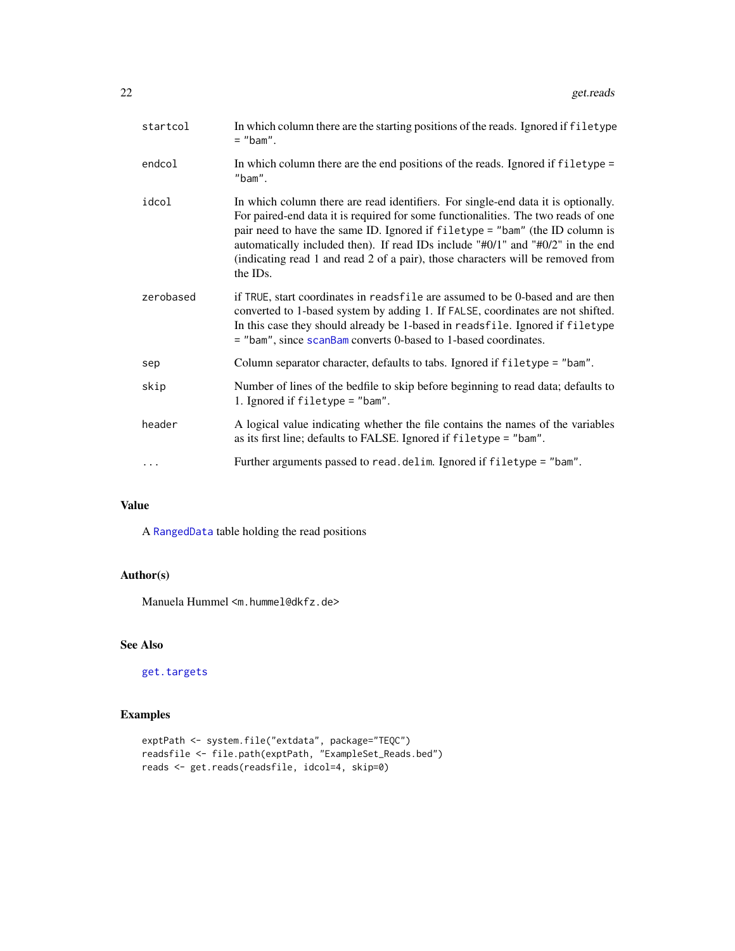<span id="page-21-0"></span>

| startcol  | In which column there are the starting positions of the reads. Ignored if filetype<br>$=$ "bam".                                                                                                                                                                                                                                                                                                                                        |
|-----------|-----------------------------------------------------------------------------------------------------------------------------------------------------------------------------------------------------------------------------------------------------------------------------------------------------------------------------------------------------------------------------------------------------------------------------------------|
| endcol    | In which column there are the end positions of the reads. Ignored if filetype =<br>$"$ bam".                                                                                                                                                                                                                                                                                                                                            |
| idcol     | In which column there are read identifiers. For single-end data it is optionally.<br>For paired-end data it is required for some functionalities. The two reads of one<br>pair need to have the same ID. Ignored if filetype = "bam" (the ID column is<br>automatically included then). If read IDs include "#0/1" and "#0/2" in the end<br>(indicating read 1 and read 2 of a pair), those characters will be removed from<br>the IDs. |
| zerobased | if TRUE, start coordinates in readsfile are assumed to be 0-based and are then<br>converted to 1-based system by adding 1. If FALSE, coordinates are not shifted.<br>In this case they should already be 1-based in readsfile. Ignored if filetype<br>= "bam", since scanBam converts 0-based to 1-based coordinates.                                                                                                                   |
| sep       | Column separator character, defaults to tabs. Ignored if filetype = "bam".                                                                                                                                                                                                                                                                                                                                                              |
| skip      | Number of lines of the bedfile to skip before beginning to read data; defaults to<br>1. Ignored if $filter = "bam".$                                                                                                                                                                                                                                                                                                                    |
| header    | A logical value indicating whether the file contains the names of the variables<br>as its first line; defaults to FALSE. Ignored if filetype = "bam".                                                                                                                                                                                                                                                                                   |
| $\cdots$  | Further arguments passed to read. delim. Ignored if filetype = "bam".                                                                                                                                                                                                                                                                                                                                                                   |

### Value

A [RangedData](#page-0-0) table holding the read positions

### Author(s)

Manuela Hummel <m.hummel@dkfz.de>

### See Also

[get.targets](#page-22-1)

### Examples

```
exptPath <- system.file("extdata", package="TEQC")
readsfile <- file.path(exptPath, "ExampleSet_Reads.bed")
reads <- get.reads(readsfile, idcol=4, skip=0)
```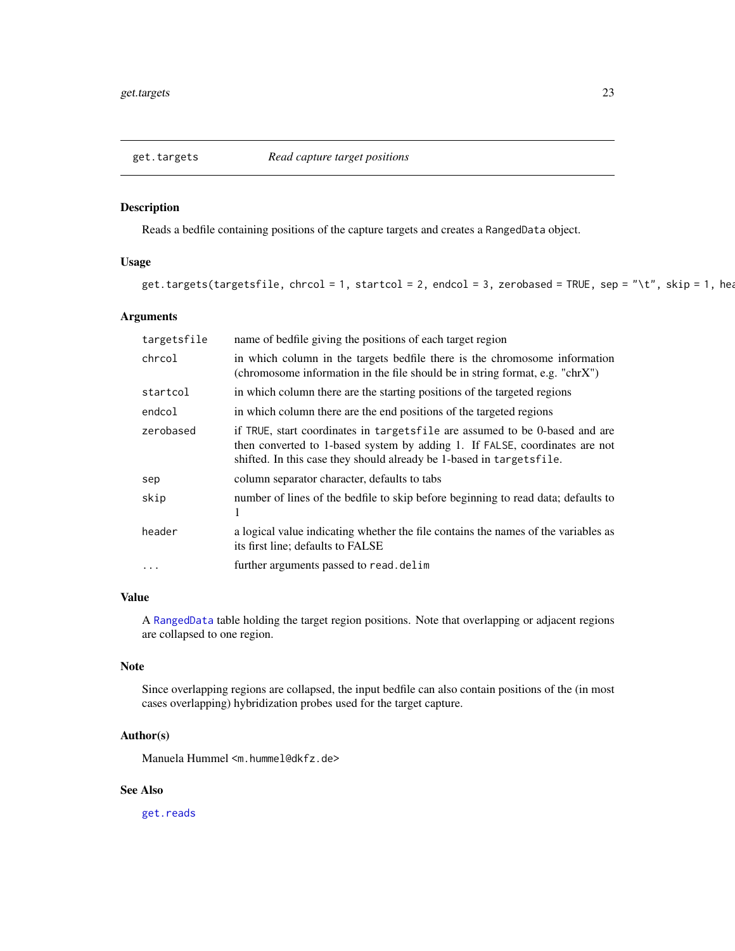<span id="page-22-1"></span><span id="page-22-0"></span>

### **Description**

Reads a bedfile containing positions of the capture targets and creates a RangedData object.

### Usage

```
get.targets(targetsfile, chrcol = 1, startcol = 2, endcol = 3, zerobased = TRUE, sep = "\t", skip = 1, head
```
### Arguments

| targetsfile | name of bedfile giving the positions of each target region                                                                                                                                                                           |
|-------------|--------------------------------------------------------------------------------------------------------------------------------------------------------------------------------------------------------------------------------------|
| chrcol      | in which column in the targets bedfile there is the chromosome information<br>(chromosome information in the file should be in string format, e.g. "chrX")                                                                           |
| startcol    | in which column there are the starting positions of the targeted regions                                                                                                                                                             |
| endcol      | in which column there are the end positions of the targeted regions                                                                                                                                                                  |
| zerobased   | if TRUE, start coordinates in targets file are assumed to be 0-based and are<br>then converted to 1-based system by adding 1. If FALSE, coordinates are not<br>shifted. In this case they should already be 1-based in targets file. |
| sep         | column separator character, defaults to tabs                                                                                                                                                                                         |
| skip        | number of lines of the bedfile to skip before beginning to read data; defaults to<br>1                                                                                                                                               |
| header      | a logical value indicating whether the file contains the names of the variables as<br>its first line; defaults to FALSE                                                                                                              |
| .           | further arguments passed to read. delim                                                                                                                                                                                              |

### Value

A [RangedData](#page-0-0) table holding the target region positions. Note that overlapping or adjacent regions are collapsed to one region.

### Note

Since overlapping regions are collapsed, the input bedfile can also contain positions of the (in most cases overlapping) hybridization probes used for the target capture.

### Author(s)

Manuela Hummel <m.hummel@dkfz.de>

### See Also

[get.reads](#page-20-1)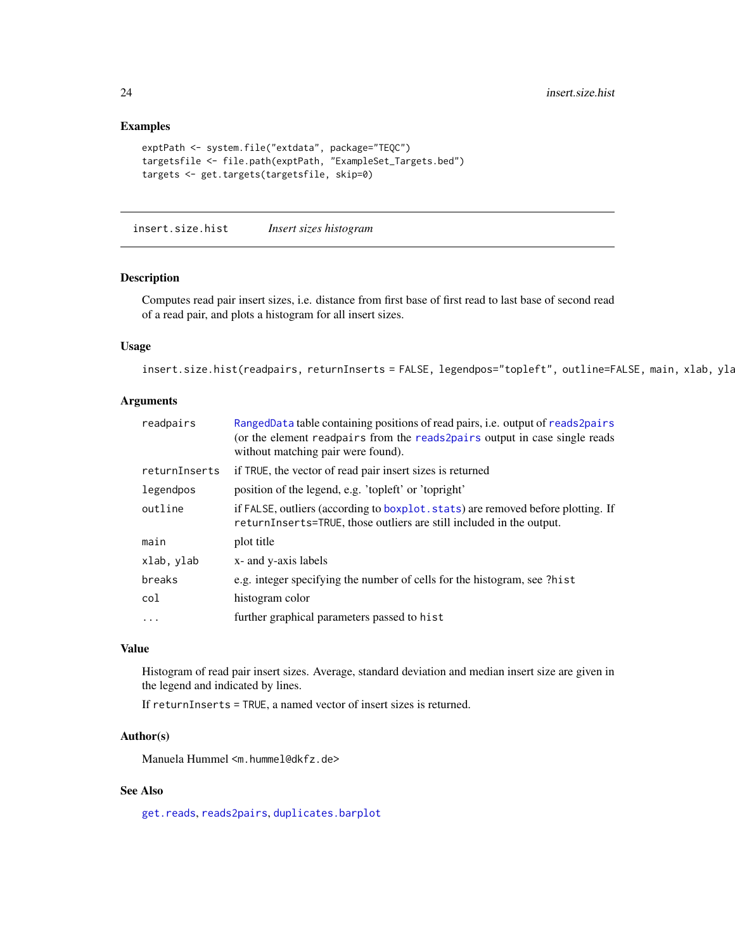### Examples

```
exptPath <- system.file("extdata", package="TEQC")
targetsfile <- file.path(exptPath, "ExampleSet_Targets.bed")
targets <- get.targets(targetsfile, skip=0)
```
<span id="page-23-1"></span>insert.size.hist *Insert sizes histogram*

#### Description

Computes read pair insert sizes, i.e. distance from first base of first read to last base of second read of a read pair, and plots a histogram for all insert sizes.

### Usage

```
insert.size.hist(readpairs, returnInserts = FALSE, legendpos="topleft", outline=FALSE, main, xlab, yla
```
### Arguments

| readpairs     | RangedData table containing positions of read pairs, i.e. output of reads2pairs<br>(or the element readpairs from the reads2pairs output in case single reads<br>without matching pair were found). |
|---------------|-----------------------------------------------------------------------------------------------------------------------------------------------------------------------------------------------------|
| returnInserts | if TRUE, the vector of read pair insert sizes is returned                                                                                                                                           |
| legendpos     | position of the legend, e.g. 'topleft' or 'topright'                                                                                                                                                |
| outline       | if FALSE, outliers (according to boxplot. stats) are removed before plotting. If<br>returnInserts=TRUE, those outliers are still included in the output.                                            |
| main          | plot title                                                                                                                                                                                          |
| xlab, ylab    | x- and y-axis labels                                                                                                                                                                                |
| breaks        | e.g. integer specifying the number of cells for the histogram, see ?hist                                                                                                                            |
| col           | histogram color                                                                                                                                                                                     |
| $\ddots$ .    | further graphical parameters passed to hist                                                                                                                                                         |
|               |                                                                                                                                                                                                     |

#### Value

Histogram of read pair insert sizes. Average, standard deviation and median insert size are given in the legend and indicated by lines.

If returnInserts = TRUE, a named vector of insert sizes is returned.

### Author(s)

Manuela Hummel <m.hummel@dkfz.de>

### See Also

[get.reads](#page-20-1), [reads2pairs](#page-27-1), [duplicates.barplot](#page-15-1)

<span id="page-23-0"></span>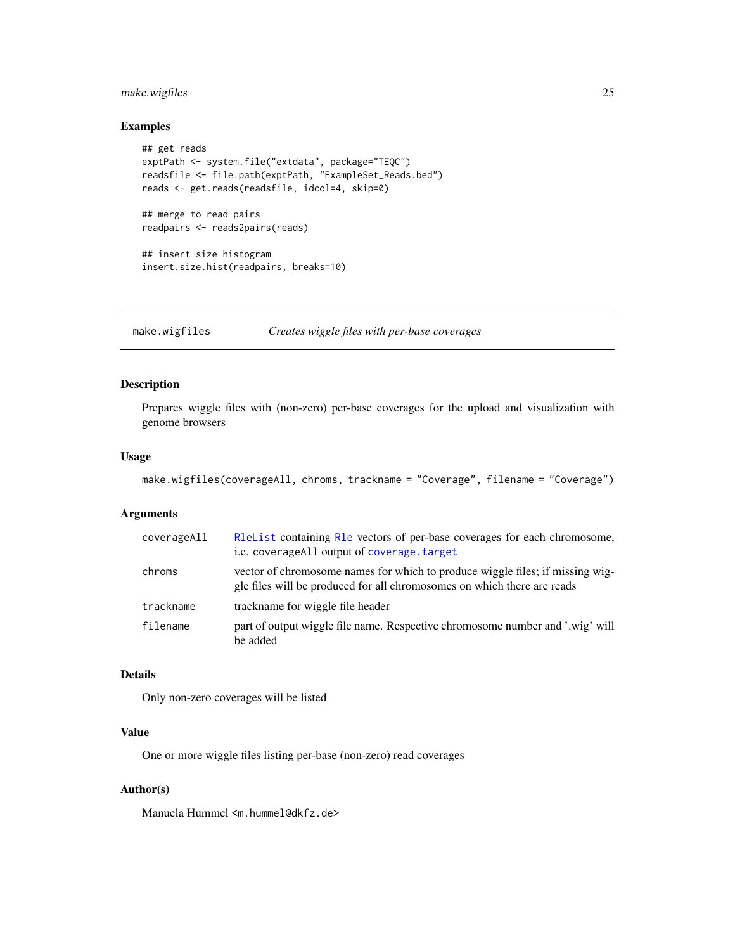### <span id="page-24-0"></span>make.wigfiles 25

### Examples

```
## get reads
exptPath <- system.file("extdata", package="TEQC")
readsfile <- file.path(exptPath, "ExampleSet_Reads.bed")
reads <- get.reads(readsfile, idcol=4, skip=0)
## merge to read pairs
readpairs <- reads2pairs(reads)
## insert size histogram
insert.size.hist(readpairs, breaks=10)
```
<span id="page-24-1"></span>make.wigfiles *Creates wiggle files with per-base coverages*

### Description

Prepares wiggle files with (non-zero) per-base coverages for the upload and visualization with genome browsers

#### Usage

```
make.wigfiles(coverageAll, chroms, trackname = "Coverage", filename = "Coverage")
```
### Arguments

| coverageAll | R1eList containing R1e vectors of per-base coverages for each chromosome,<br>i.e. coverage All output of coverage. target                                |
|-------------|----------------------------------------------------------------------------------------------------------------------------------------------------------|
| chroms      | vector of chromosome names for which to produce wiggle files; if missing wig-<br>gle files will be produced for all chromosomes on which there are reads |
| trackname   | trackname for wiggle file header                                                                                                                         |
| filename    | part of output wiggle file name. Respective chromosome number and '.wig' will<br>be added                                                                |

### Details

Only non-zero coverages will be listed

### Value

One or more wiggle files listing per-base (non-zero) read coverages

#### Author(s)

Manuela Hummel <m.hummel@dkfz.de>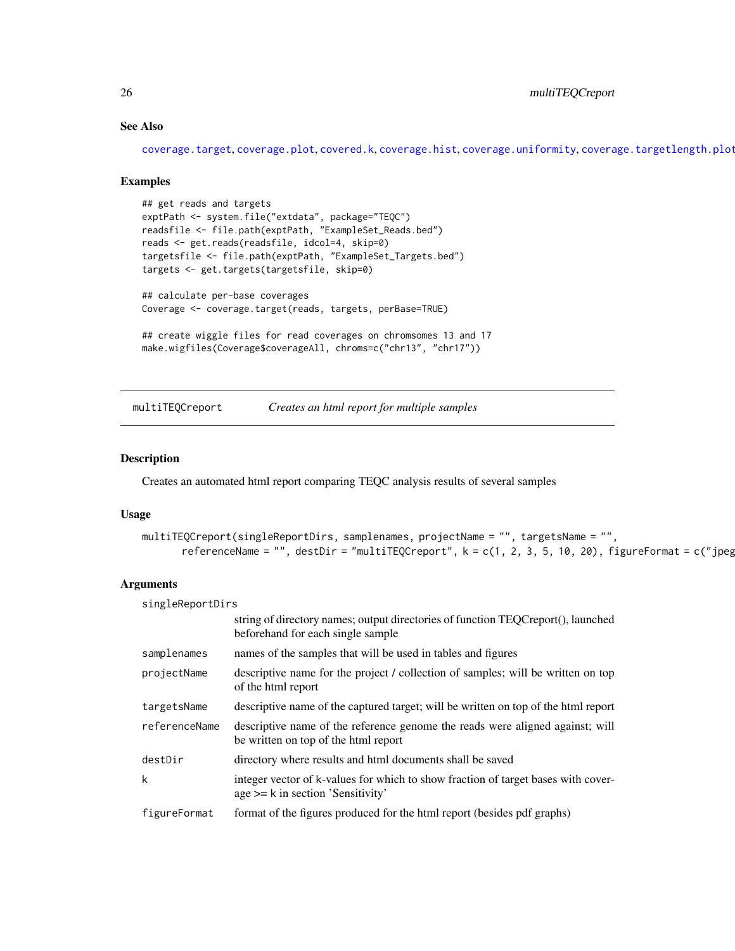### See Also

[coverage.target](#page-10-1), [coverage.plot](#page-8-1), [covered.k](#page-14-1), [coverage.hist](#page-7-1), [coverage.uniformity](#page-12-1), [coverage.targetlength.plot](#page-11-1)

#### Examples

```
## get reads and targets
exptPath <- system.file("extdata", package="TEQC")
readsfile <- file.path(exptPath, "ExampleSet_Reads.bed")
reads <- get.reads(readsfile, idcol=4, skip=0)
targetsfile <- file.path(exptPath, "ExampleSet_Targets.bed")
targets <- get.targets(targetsfile, skip=0)
## calculate per-base coverages
Coverage <- coverage.target(reads, targets, perBase=TRUE)
```

```
## create wiggle files for read coverages on chromsomes 13 and 17
make.wigfiles(Coverage$coverageAll, chroms=c("chr13", "chr17"))
```
multiTEQCreport *Creates an html report for multiple samples*

#### Description

Creates an automated html report comparing TEQC analysis results of several samples

### Usage

```
multiTEQCreport(singleReportDirs, samplenames, projectName = "", targetsName = "",
      referenceName = "", destDir = "multiTEQCreport", k = c(1, 2, 3, 5, 10, 20), figureFormat = c("jpeg
```

| singleReportDirs |                                                                                                                            |
|------------------|----------------------------------------------------------------------------------------------------------------------------|
|                  | string of directory names; output directories of function TEOCreport(), launched<br>beforehand for each single sample      |
| samplenames      | names of the samples that will be used in tables and figures                                                               |
| projectName      | descriptive name for the project / collection of samples; will be written on top<br>of the html report                     |
| targetsName      | descriptive name of the captured target; will be written on top of the html report                                         |
| referenceName    | descriptive name of the reference genome the reads were aligned against; will<br>be written on top of the html report      |
| destDir          | directory where results and html documents shall be saved                                                                  |
| k                | integer vector of k-values for which to show fraction of target bases with cover-<br>$age \geq k$ in section 'Sensitivity' |
| figureFormat     | format of the figures produced for the html report (besides pdf graphs)                                                    |

<span id="page-25-0"></span>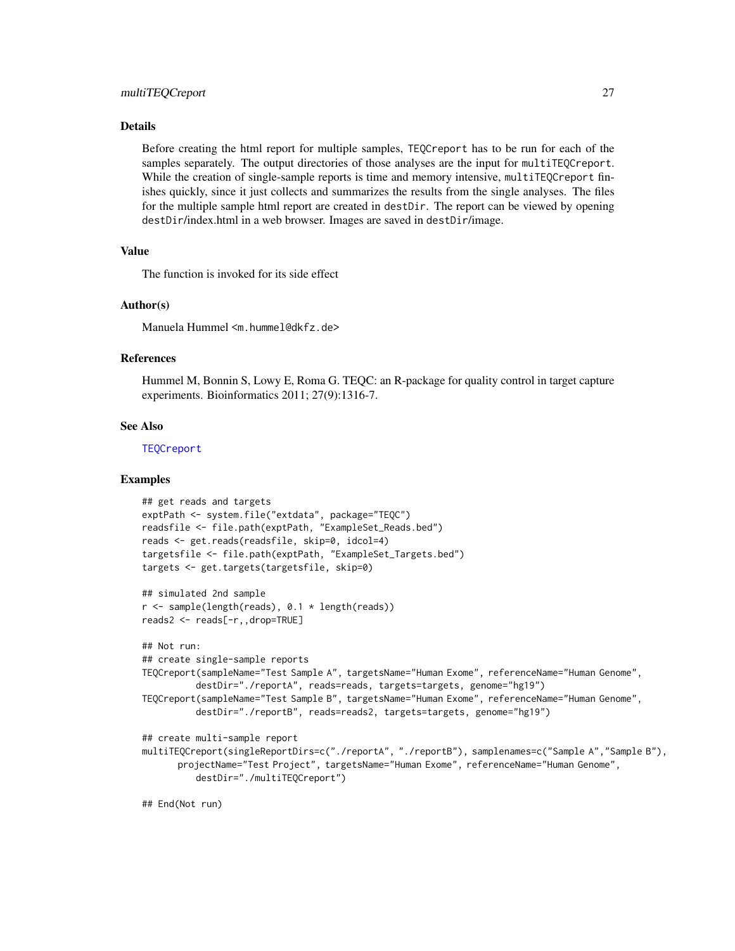### <span id="page-26-0"></span>Details

Before creating the html report for multiple samples, TEQCreport has to be run for each of the samples separately. The output directories of those analyses are the input for multiTEQCreport. While the creation of single-sample reports is time and memory intensive, multiTEQCreport finishes quickly, since it just collects and summarizes the results from the single analyses. The files for the multiple sample html report are created in destDir. The report can be viewed by opening destDir/index.html in a web browser. Images are saved in destDir/image.

### Value

The function is invoked for its side effect

### Author(s)

Manuela Hummel <m.hummel@dkfz.de>

#### References

Hummel M, Bonnin S, Lowy E, Roma G. TEQC: an R-package for quality control in target capture experiments. Bioinformatics 2011; 27(9):1316-7.

#### See Also

**[TEQCreport](#page-29-1)** 

### Examples

```
## get reads and targets
exptPath <- system.file("extdata", package="TEQC")
readsfile <- file.path(exptPath, "ExampleSet_Reads.bed")
reads <- get.reads(readsfile, skip=0, idcol=4)
targetsfile <- file.path(exptPath, "ExampleSet_Targets.bed")
targets <- get.targets(targetsfile, skip=0)
```

```
## simulated 2nd sample
r <- sample(length(reads), 0.1 * length(reads))
reads2 <- reads[-r,,drop=TRUE]
```
#### ## Not run:

```
## create single-sample reports
TEQCreport(sampleName="Test Sample A", targetsName="Human Exome", referenceName="Human Genome",
          destDir="./reportA", reads=reads, targets=targets, genome="hg19")
TEQCreport(sampleName="Test Sample B", targetsName="Human Exome", referenceName="Human Genome",
          destDir="./reportB", reads=reads2, targets=targets, genome="hg19")
```
#### ## create multi-sample report

```
multiTEQCreport(singleReportDirs=c("./reportA", "./reportB"), samplenames=c("Sample A","Sample B"),
      projectName="Test Project", targetsName="Human Exome", referenceName="Human Genome",
          destDir="./multiTEQCreport")
```
## End(Not run)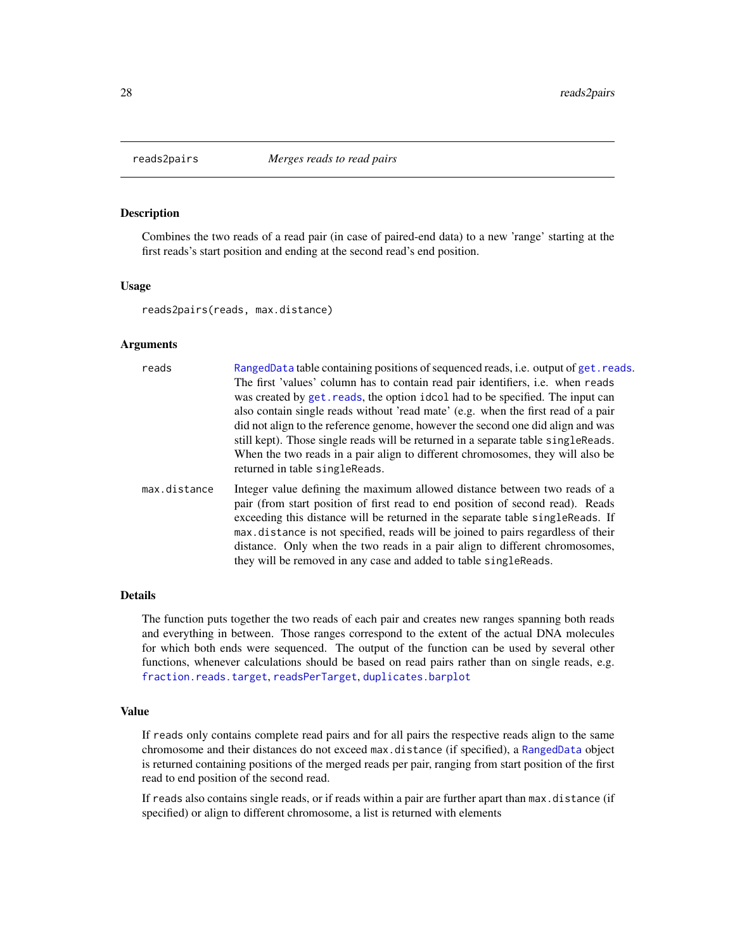<span id="page-27-1"></span><span id="page-27-0"></span>

### Description

Combines the two reads of a read pair (in case of paired-end data) to a new 'range' starting at the first reads's start position and ending at the second read's end position.

#### Usage

reads2pairs(reads, max.distance)

#### Arguments

| reads        | RangedData table containing positions of sequenced reads, i.e. output of get. reads.<br>The first 'values' column has to contain read pair identifiers, i.e. when reads<br>was created by get. reads, the option idcol had to be specified. The input can<br>also contain single reads without 'read mate' (e.g. when the first read of a pair<br>did not align to the reference genome, however the second one did align and was<br>still kept). Those single reads will be returned in a separate table singleReads.<br>When the two reads in a pair align to different chromosomes, they will also be<br>returned in table singleReads. |
|--------------|--------------------------------------------------------------------------------------------------------------------------------------------------------------------------------------------------------------------------------------------------------------------------------------------------------------------------------------------------------------------------------------------------------------------------------------------------------------------------------------------------------------------------------------------------------------------------------------------------------------------------------------------|
| max.distance | Integer value defining the maximum allowed distance between two reads of a<br>pair (from start position of first read to end position of second read). Reads<br>exceeding this distance will be returned in the separate table singleReads. If<br>max.distance is not specified, reads will be joined to pairs regardless of their<br>distance. Only when the two reads in a pair align to different chromosomes,                                                                                                                                                                                                                          |

they will be removed in any case and added to table singleReads.

#### Details

The function puts together the two reads of each pair and creates new ranges spanning both reads and everything in between. Those ranges correspond to the extent of the actual DNA molecules for which both ends were sequenced. The output of the function can be used by several other functions, whenever calculations should be based on read pairs rather than on single reads, e.g. [fraction.reads.target](#page-17-1), [readsPerTarget](#page-28-1), [duplicates.barplot](#page-15-1)

### Value

If reads only contains complete read pairs and for all pairs the respective reads align to the same chromosome and their distances do not exceed max.distance (if specified), a [RangedData](#page-0-0) object is returned containing positions of the merged reads per pair, ranging from start position of the first read to end position of the second read.

If reads also contains single reads, or if reads within a pair are further apart than max.distance (if specified) or align to different chromosome, a list is returned with elements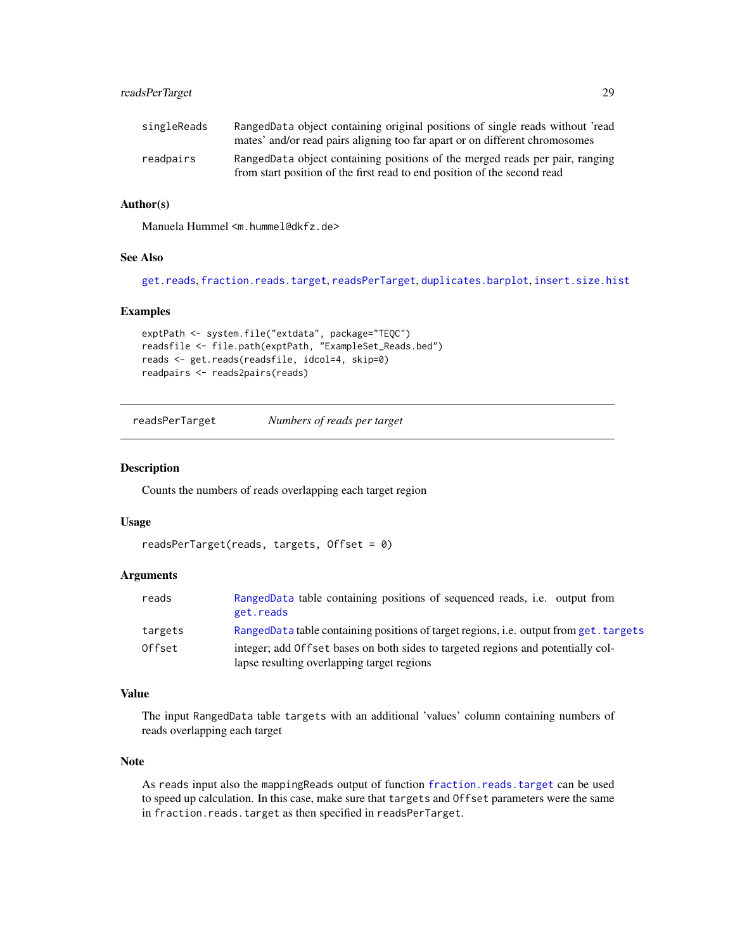### <span id="page-28-0"></span>readsPerTarget 29

| singleReads | RangedData object containing original positions of single reads without 'read<br>mates' and/or read pairs aligning too far apart or on different chromosomes |
|-------------|--------------------------------------------------------------------------------------------------------------------------------------------------------------|
| readpairs   | RangedData object containing positions of the merged reads per pair, ranging<br>from start position of the first read to end position of the second read     |

### Author(s)

Manuela Hummel <m.hummel@dkfz.de>

### See Also

[get.reads](#page-20-1), [fraction.reads.target](#page-17-1), [readsPerTarget](#page-28-1), [duplicates.barplot](#page-15-1), [insert.size.hist](#page-23-1)

### Examples

```
exptPath <- system.file("extdata", package="TEQC")
readsfile <- file.path(exptPath, "ExampleSet_Reads.bed")
reads <- get.reads(readsfile, idcol=4, skip=0)
readpairs <- reads2pairs(reads)
```
<span id="page-28-1"></span>readsPerTarget *Numbers of reads per target*

### Description

Counts the numbers of reads overlapping each target region

### Usage

```
readsPerTarget(reads, targets, Offset = 0)
```
### Arguments

| reads   | RangedData table containing positions of sequenced reads, <i>i.e.</i> output from<br>get.reads |
|---------|------------------------------------------------------------------------------------------------|
| targets | RangedData table containing positions of target regions, i.e. output from get. targets         |
| Offset  | integer; add Offset bases on both sides to targeted regions and potentially col-               |
|         | lapse resulting overlapping target regions                                                     |

### Value

The input RangedData table targets with an additional 'values' column containing numbers of reads overlapping each target

### Note

As reads input also the mappingReads output of function [fraction.reads.target](#page-17-1) can be used to speed up calculation. In this case, make sure that targets and Offset parameters were the same in fraction.reads.target as then specified in readsPerTarget.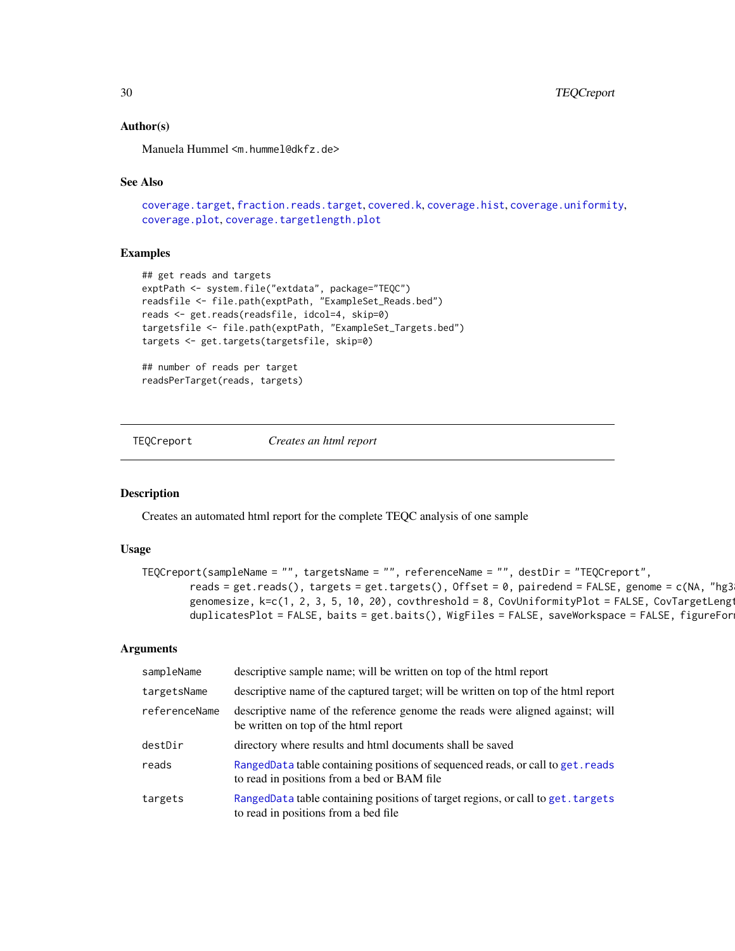### Author(s)

Manuela Hummel <m.hummel@dkfz.de>

### See Also

```
coverage.targetfraction.reads.targetcovered.kcoverage.histcoverage.uniformity,
coverage.plot, coverage.targetlength.plot
```
#### Examples

```
## get reads and targets
exptPath <- system.file("extdata", package="TEQC")
readsfile <- file.path(exptPath, "ExampleSet_Reads.bed")
reads <- get.reads(readsfile, idcol=4, skip=0)
targetsfile <- file.path(exptPath, "ExampleSet_Targets.bed")
targets <- get.targets(targetsfile, skip=0)
```

```
## number of reads per target
readsPerTarget(reads, targets)
```
<span id="page-29-1"></span>TEQCreport *Creates an html report*

#### Description

Creates an automated html report for the complete TEQC analysis of one sample

#### Usage

```
TEQCreport(sampleName = "", targetsName = "", referenceName = "", destDir = "TEQCreport",
        reads = get.reads(), targets = get.targets(), Offset = 0, pairedend = FALSE, genome = c(NA, "hg3
        genomesize, k=c(1, 2, 3, 5, 10, 20), covthreshold = 8, CovUniformityPlot = FALSE, CovTargetLeng
        duplicatesPlot = FALSE, baits = get.baits(), WigFiles = FALSE, saveWorkspace = FALSE, figureFor
```

| sampleName    | descriptive sample name; will be written on top of the html report                                                             |
|---------------|--------------------------------------------------------------------------------------------------------------------------------|
| targetsName   | descriptive name of the captured target; will be written on top of the html report                                             |
| referenceName | descriptive name of the reference genome the reads were aligned against; will<br>be written on top of the html report          |
| destDir       | directory where results and html documents shall be saved                                                                      |
| reads         | RangedData table containing positions of sequenced reads, or call to get. reads<br>to read in positions from a bed or BAM file |
| targets       | RangedData table containing positions of target regions, or call to get. targets<br>to read in positions from a bed file       |

<span id="page-29-0"></span>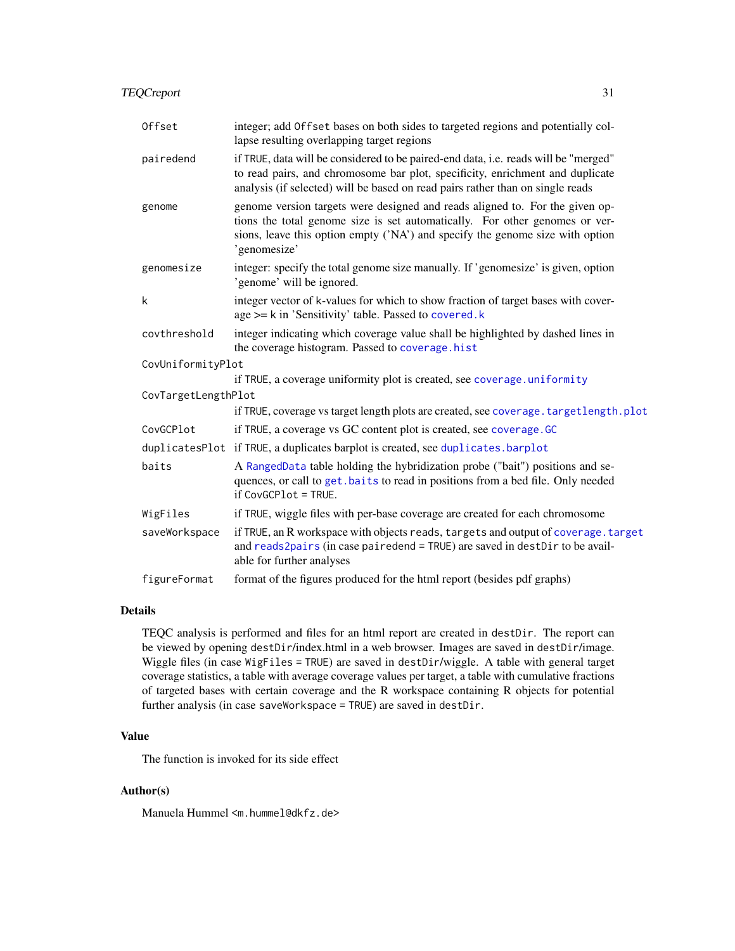<span id="page-30-0"></span>

| Offset              | integer; add Offset bases on both sides to targeted regions and potentially col-<br>lapse resulting overlapping target regions                                                                                                                               |
|---------------------|--------------------------------------------------------------------------------------------------------------------------------------------------------------------------------------------------------------------------------------------------------------|
| pairedend           | if TRUE, data will be considered to be paired-end data, i.e. reads will be "merged"<br>to read pairs, and chromosome bar plot, specificity, enrichment and duplicate<br>analysis (if selected) will be based on read pairs rather than on single reads       |
| genome              | genome version targets were designed and reads aligned to. For the given op-<br>tions the total genome size is set automatically. For other genomes or ver-<br>sions, leave this option empty ('NA') and specify the genome size with option<br>'genomesize' |
| genomesize          | integer: specify the total genome size manually. If 'genomesize' is given, option<br>'genome' will be ignored.                                                                                                                                               |
| k                   | integer vector of k-values for which to show fraction of target bases with cover-<br>age >= k in 'Sensitivity' table. Passed to covered.k                                                                                                                    |
| covthreshold        | integer indicating which coverage value shall be highlighted by dashed lines in<br>the coverage histogram. Passed to coverage.hist                                                                                                                           |
| CovUniformityPlot   |                                                                                                                                                                                                                                                              |
|                     | if TRUE, a coverage uniformity plot is created, see coverage.uniformity                                                                                                                                                                                      |
| CovTargetLengthPlot |                                                                                                                                                                                                                                                              |
|                     | if TRUE, coverage vs target length plots are created, see coverage. target length.plot                                                                                                                                                                       |
| CovGCPlot           | if TRUE, a coverage vs GC content plot is created, see coverage. GC                                                                                                                                                                                          |
|                     | duplicatesPlot if TRUE, a duplicates barplot is created, see duplicates.barplot                                                                                                                                                                              |
| baits               | A RangedData table holding the hybridization probe ("bait") positions and se-<br>quences, or call to get. baits to read in positions from a bed file. Only needed<br>if CovGCPlot = TRUE.                                                                    |
| WigFiles            | if TRUE, wiggle files with per-base coverage are created for each chromosome                                                                                                                                                                                 |
| saveWorkspace       | if TRUE, an R workspace with objects reads, targets and output of coverage. target<br>and reads2pairs (in case pairedend = TRUE) are saved in destDir to be avail-<br>able for further analyses                                                              |
| figureFormat        | format of the figures produced for the html report (besides pdf graphs)                                                                                                                                                                                      |

### Details

TEQC analysis is performed and files for an html report are created in destDir. The report can be viewed by opening destDir/index.html in a web browser. Images are saved in destDir/image. Wiggle files (in case WigFiles = TRUE) are saved in destDir/wiggle. A table with general target coverage statistics, a table with average coverage values per target, a table with cumulative fractions of targeted bases with certain coverage and the R workspace containing R objects for potential further analysis (in case saveWorkspace = TRUE) are saved in destDir.

### Value

The function is invoked for its side effect

### Author(s)

Manuela Hummel <m.hummel@dkfz.de>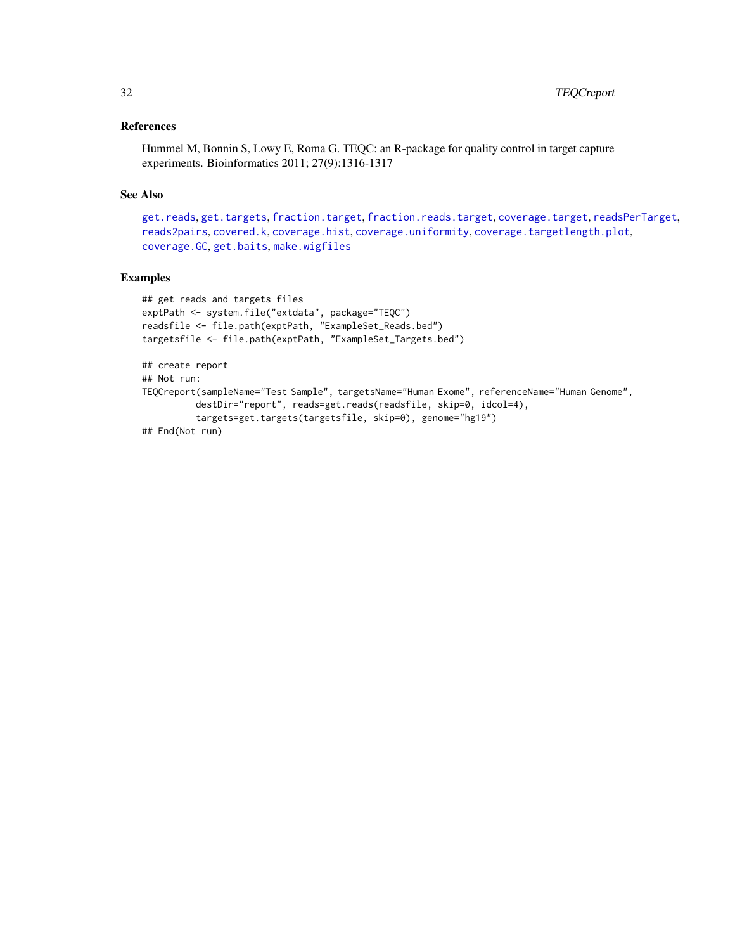### <span id="page-31-0"></span>References

Hummel M, Bonnin S, Lowy E, Roma G. TEQC: an R-package for quality control in target capture experiments. Bioinformatics 2011; 27(9):1316-1317

### See Also

```
get.reads, get.targets, fraction.target, fraction.reads.target, coverage.target, readsPerTarget,
reads2pairs, covered.k, coverage.hist, coverage.uniformity, coverage.targetlength.plot,
coverage.GC, get.baits, make.wigfiles
```
### Examples

```
## get reads and targets files
exptPath <- system.file("extdata", package="TEQC")
readsfile <- file.path(exptPath, "ExampleSet_Reads.bed")
targetsfile <- file.path(exptPath, "ExampleSet_Targets.bed")
## create report
## Not run:
TEQCreport(sampleName="Test Sample", targetsName="Human Exome", referenceName="Human Genome",
          destDir="report", reads=get.reads(readsfile, skip=0, idcol=4),
          targets=get.targets(targetsfile, skip=0), genome="hg19")
## End(Not run)
```